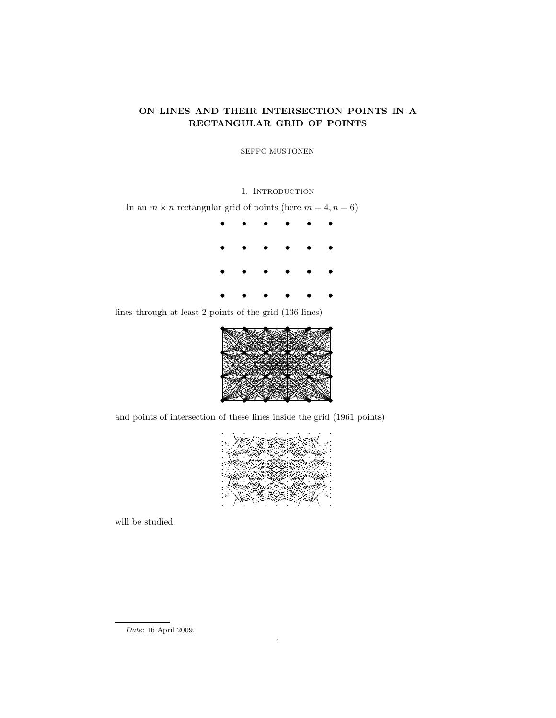# ON LINES AND THEIR INTERSECTION POINTS IN A RECTANGULAR GRID OF POINTS

SEPPO MUSTONEN

## 1. INTRODUCTION

In an  $m \times n$  rectangular grid of points (here  $m = 4, n = 6$ )



lines through at least 2 points of the grid (136 lines)



and points of intersection of these lines inside the grid (1961 points)



will be studied.

 ${\it Date:}$  16 April 2009.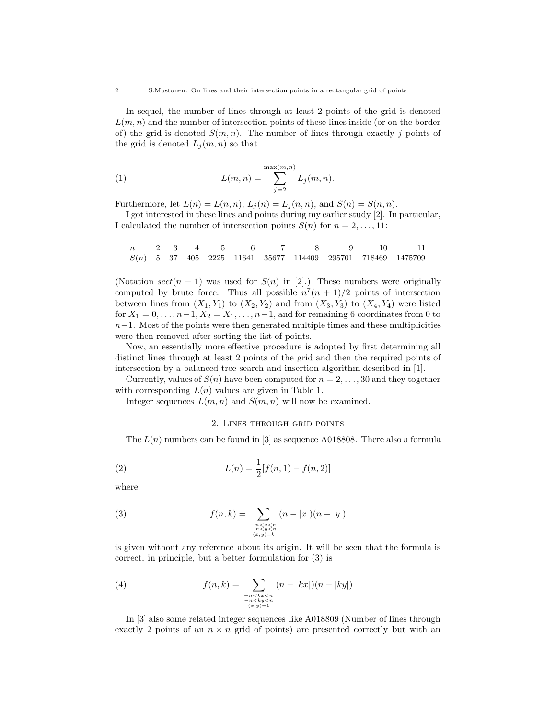In sequel, the number of lines through at least 2 points of the grid is denoted  $L(m, n)$  and the number of intersection points of these lines inside (or on the border of) the grid is denoted  $S(m, n)$ . The number of lines through exactly j points of the grid is denoted  $L_j(m, n)$  so that

(1) 
$$
L(m, n) = \sum_{j=2}^{\max(m, n)} L_j(m, n).
$$

Furthermore, let  $L(n) = L(n, n)$ ,  $L_j(n) = L_j(n, n)$ , and  $S(n) = S(n, n)$ .

I got interested in these lines and points during my earlier study [2]. In particular, I calculated the number of intersection points  $S(n)$  for  $n = 2, \ldots, 11$ :

$$
\begin{array}{ccccccccccc} n & 2 & 3 & 4 & 5 & 6 & 7 & 8 & 9 & 10 & 11 \\ S(n) & 5 & 37 & 405 & 2225 & 11641 & 35677 & 114409 & 295701 & 718469 & 1475709 \end{array}
$$

(Notation  $sect(n - 1)$  was used for  $S(n)$  in [2].) These numbers were originally computed by brute force. Thus all possible  $n^7(n+1)/2$  points of intersection between lines from  $(X_1, Y_1)$  to  $(X_2, Y_2)$  and from  $(X_3, Y_3)$  to  $(X_4, Y_4)$  were listed for  $X_1 = 0, \ldots, n-1, X_2 = X_1, \ldots, n-1$ , and for remaining 6 coordinates from 0 to  $n-1$ . Most of the points were then generated multiple times and these multiplicities were then removed after sorting the list of points.

Now, an essentially more effective procedure is adopted by first determining all distinct lines through at least 2 points of the grid and then the required points of intersection by a balanced tree search and insertion algorithm described in [1].

Currently, values of  $S(n)$  have been computed for  $n = 2, \ldots, 30$  and they together with corresponding  $L(n)$  values are given in Table 1.

Integer sequences  $L(m, n)$  and  $S(m, n)$  will now be examined.

#### 2. Lines through grid points

The  $L(n)$  numbers can be found in [3] as sequence A018808. There also a formula

(2) 
$$
L(n) = \frac{1}{2}[f(n, 1) - f(n, 2)]
$$

where

(3) 
$$
f(n,k) = \sum_{\substack{-n < x < n \\ -n < y < n \\ (x,y)=k}} (n-|x|)(n-|y|)
$$

is given without any reference about its origin. It will be seen that the formula is correct, in principle, but a better formulation for (3) is

(4) 
$$
f(n,k) = \sum_{\substack{n < kx < n \\ -n < y < n \\ (x,y) = 1}} (n - |kx|)(n - |ky|)
$$

In [3] also some related integer sequences like A018809 (Number of lines through exactly 2 points of an  $n \times n$  grid of points) are presented correctly but with an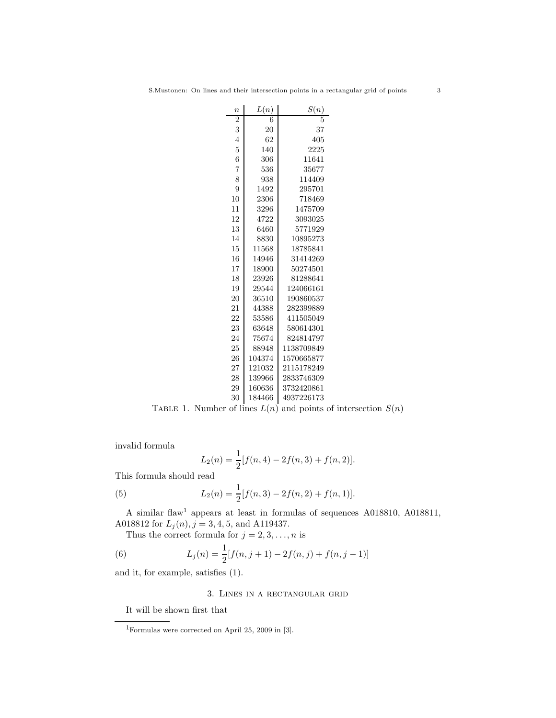| $\boldsymbol{n}$ | L(n)   | S(n)       |
|------------------|--------|------------|
| $\overline{2}$   | 6      |            |
| 3                | 20     | 37         |
| $\overline{4}$   | 62     | 405        |
| $\overline{5}$   | 140    | 2225       |
| 6                | 306    | 11641      |
| $\overline{7}$   | 536    | 35677      |
| 8                | 938    | 114409     |
| 9                | 1492   | 295701     |
| 10               | 2306   | 718469     |
| 11               | 3296   | 1475709    |
| 12               | 4722   | 3093025    |
| 13               | 6460   | 5771929    |
| 14               | 8830   | 10895273   |
| 15               | 11568  | 18785841   |
| 16               | 14946  | 31414269   |
| 17               | 18900  | 50274501   |
| 18               | 23926  | 81288641   |
| 19               | 29544  | 124066161  |
| 20               | 36510  | 190860537  |
| 21               | 44388  | 282399889  |
| 22               | 53586  | 411505049  |
| 23               | 63648  | 580614301  |
| 24               | 75674  | 824814797  |
| 25               | 88948  | 1138709849 |
| 26               | 104374 | 1570665877 |
| 27               | 121032 | 2115178249 |
| 28               | 139966 | 2833746309 |
| 29               | 160636 | 3732420861 |
| 30               | 184466 | 4937226173 |

TABLE 1. Number of lines  $L(n)$  and points of intersection  $S(n)$ 

invalid formula

$$
L_2(n) = \frac{1}{2}[f(n,4) - 2f(n,3) + f(n,2)].
$$

This formula should read

(5) 
$$
L_2(n) = \frac{1}{2}[f(n,3) - 2f(n,2) + f(n,1)].
$$

A similar flaw<sup>1</sup> appears at least in formulas of sequences A018810, A018811, A018812 for  $L_j(n)$ ,  $j = 3, 4, 5$ , and A119437.

Thus the correct formula for  $j = 2, 3, \ldots, n$  is

(6) 
$$
L_j(n) = \frac{1}{2}[f(n, j+1) - 2f(n, j) + f(n, j-1)]
$$

and it, for example, satisfies (1).

# 3. Lines in a rectangular grid

It will be shown first that

 $^1\!$  Formulas were corrected on April 25, 2009 in [3].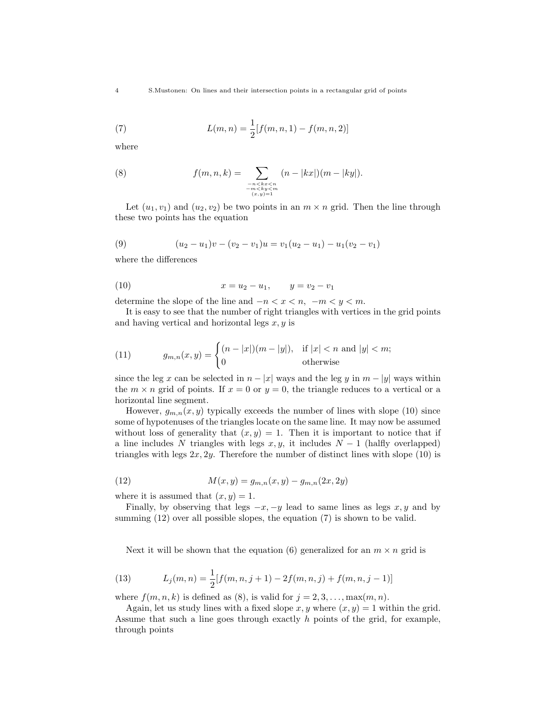(7) 
$$
L(m, n) = \frac{1}{2} [f(m, n, 1) - f(m, n, 2)]
$$

where

(8) 
$$
f(m, n, k) = \sum_{\substack{-n < kx < n \\ -m < ky < m \\ (x, y) = 1}} (n - |kx|)(m - |ky|).
$$

Let  $(u_1, v_1)$  and  $(u_2, v_2)$  be two points in an  $m \times n$  grid. Then the line through these two points has the equation

(9) 
$$
(u_2 - u_1)v - (v_2 - v_1)u = v_1(u_2 - u_1) - u_1(v_2 - v_1)
$$

where the differences

(10) 
$$
x = u_2 - u_1, \qquad y = v_2 - v_1
$$

determine the slope of the line and  $-n < x < n$ ,  $-m < y < m$ .

It is easy to see that the number of right triangles with vertices in the grid points and having vertical and horizontal legs  $x, y$  is

(11) 
$$
g_{m,n}(x,y) = \begin{cases} (n-|x|)(m-|y|), & \text{if } |x| < n \text{ and } |y| < m; \\ 0 & \text{otherwise} \end{cases}
$$

since the leg x can be selected in  $n - |x|$  ways and the leg y in  $m - |y|$  ways within the  $m \times n$  grid of points. If  $x = 0$  or  $y = 0$ , the triangle reduces to a vertical or a horizontal line segment.

However,  $g_{m,n}(x, y)$  typically exceeds the number of lines with slope (10) since some of hypotenuses of the triangles locate on the same line. It may now be assumed without loss of generality that  $(x, y) = 1$ . Then it is important to notice that if a line includes N triangles with legs  $x, y$ , it includes  $N - 1$  (halfly overlapped) triangles with legs  $2x, 2y$ . Therefore the number of distinct lines with slope (10) is

(12) 
$$
M(x, y) = g_{m,n}(x, y) - g_{m,n}(2x, 2y)
$$

where it is assumed that  $(x, y) = 1$ .

Finally, by observing that legs  $-x$ ,  $-y$  lead to same lines as legs  $x, y$  and by summing  $(12)$  over all possible slopes, the equation  $(7)$  is shown to be valid.

Next it will be shown that the equation (6) generalized for an  $m \times n$  grid is

(13) 
$$
L_j(m,n) = \frac{1}{2} [f(m,n,j+1) - 2f(m,n,j) + f(m,n,j-1)]
$$

where  $f(m, n, k)$  is defined as (8), is valid for  $j = 2, 3, \ldots, \max(m, n)$ .

Again, let us study lines with a fixed slope  $x, y$  where  $(x, y) = 1$  within the grid. Assume that such a line goes through exactly h points of the grid, for example, through points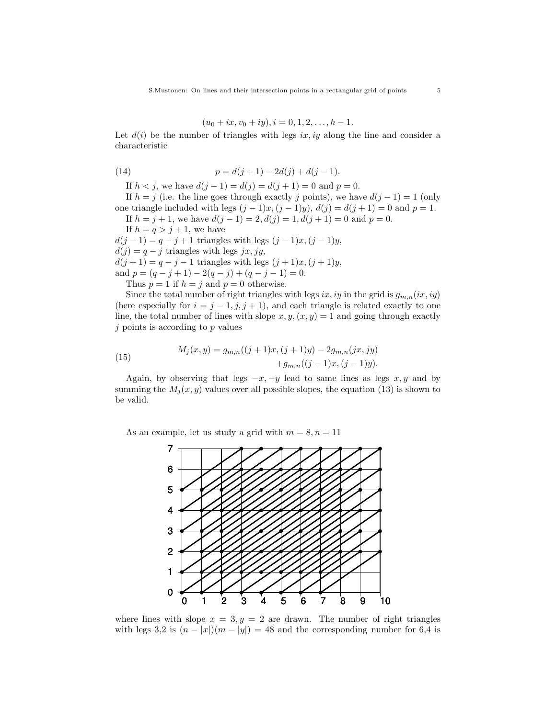$$
(u_0 + ix, v_0 + iy), i = 0, 1, 2, \dots, h - 1.
$$

Let  $d(i)$  be the number of triangles with legs ix, iy along the line and consider a characteristic

(14) 
$$
p = d(j+1) - 2d(j) + d(j-1).
$$

If  $h < j$ , we have  $d(j - 1) = d(j) = d(j + 1) = 0$  and  $p = 0$ .

If  $h = j$  (i.e. the line goes through exactly j points), we have  $d(j - 1) = 1$  (only one triangle included with legs  $(j - 1)x$ ,  $(j - 1)y$ ,  $d(j) = d(j + 1) = 0$  and  $p = 1$ . If  $h = j + 1$ , we have  $d(j - 1) = 2$ ,  $d(j) = 1$ ,  $d(j + 1) = 0$  and  $p = 0$ .

If  $h = q > j + 1$ , we have

 $d(j-1) = q - j + 1$  triangles with legs  $(j-1)x, (j-1)y$ ,  $d(j) = q - j$  triangles with legs jx, jy,  $d(j + 1) = q - j - 1$  triangles with legs  $(j + 1)x, (j + 1)y$ , and  $p = (q - j + 1) - 2(q - j) + (q - j - 1) = 0.$ 

Thus  $p = 1$  if  $h = j$  and  $p = 0$  otherwise.

Since the total number of right triangles with legs ix, iy in the grid is  $g_{m,n}(ix, iy)$ (here especially for  $i = j - 1, j, j + 1$ ), and each triangle is related exactly to one line, the total number of lines with slope  $x, y, (x, y) = 1$  and going through exactly  $j$  points is according to  $p$  values

(15) 
$$
M_j(x, y) = g_{m,n}((j + 1)x, (j + 1)y) - 2g_{m,n}(jx, jy) +g_{m,n}((j - 1)x, (j - 1)y).
$$

Again, by observing that legs  $-x$ ,  $-y$  lead to same lines as legs  $x, y$  and by summing the  $M_i(x, y)$  values over all possible slopes, the equation (13) is shown to be valid.

As an example, let us study a grid with  $m = 8, n = 11$ 



where lines with slope  $x = 3, y = 2$  are drawn. The number of right triangles with legs 3,2 is  $(n - |x|)(m - |y|) = 48$  and the corresponding number for 6,4 is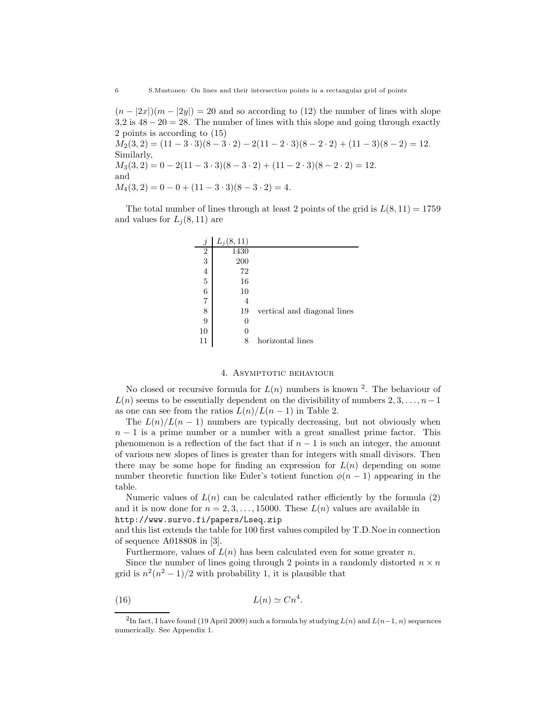$(n - |2x|)(m - |2y|) = 20$  and so according to (12) the number of lines with slope  $3,2$  is  $48 - 20 = 28$ . The number of lines with this slope and going through exactly 2 points is according to (15)  $M_2(3, 2) = (11 - 3 \cdot 3)(8 - 3 \cdot 2) - 2(11 - 2 \cdot 3)(8 - 2 \cdot 2) + (11 - 3)(8 - 2) = 12.$ Similarly,  $M_3(3, 2) = 0 - 2(11 - 3 \cdot 3)(8 - 3 \cdot 2) + (11 - 2 \cdot 3)(8 - 2 \cdot 2) = 12.$ and  $M_4(3,2) = 0 - 0 + (11 - 3 \cdot 3)(8 - 3 \cdot 2) = 4.$ 

The total number of lines through at least 2 points of the grid is  $L(8, 11) = 1759$ and values for  $L_i(8, 11)$  are

| $\boldsymbol{j}$ | $L_j(8,11)$ |                             |
|------------------|-------------|-----------------------------|
| $\overline{2}$   | 1430        |                             |
| 3                | 200         |                             |
| 4                | 72          |                             |
| 5                | 16          |                             |
| 6                | 10          |                             |
| 7                | 4           |                             |
| 8                | 19          | vertical and diagonal lines |
| 9                | 0           |                             |
| 10               | 0           |                             |
| 11               | 8           | horizontal lines            |

#### 4. Asymptotic behaviour

No closed or recursive formula for  $L(n)$  numbers is known <sup>2</sup>. The behaviour of  $L(n)$  seems to be essentially dependent on the divisibility of numbers  $2, 3, \ldots, n-1$ as one can see from the ratios  $L(n)/L(n-1)$  in Table 2.

The  $L(n)/L(n-1)$  numbers are typically decreasing, but not obviously when  $n-1$  is a prime number or a number with a great smallest prime factor. This phenomenon is a reflection of the fact that if  $n - 1$  is such an integer, the amount of various new slopes of lines is greater than for integers with small divisors. Then there may be some hope for finding an expression for  $L(n)$  depending on some number theoretic function like Euler's totient function  $\phi(n-1)$  appearing in the table.

Numeric values of  $L(n)$  can be calculated rather efficiently by the formula (2) and it is now done for  $n = 2, 3, \ldots, 15000$ . These  $L(n)$  values are available in http://www.survo.fi/papers/Lseq.zip

and this list extends the table for 100 first values compiled by T.D.Noe in connection of sequence A018808 in [3].

Furthermore, values of  $L(n)$  has been calculated even for some greater n.

Since the number of lines going through 2 points in a randomly distorted  $n \times n$ grid is  $n^2(n^2-1)/2$  with probability 1, it is plausible that

$$
(16) \t\t L(n) \simeq Cn^4.
$$

<sup>&</sup>lt;sup>2</sup>In fact, I have found (19 April 2009) such a formula by studying  $L(n)$  and  $L(n-1, n)$  sequences numerically. See Appendix 1.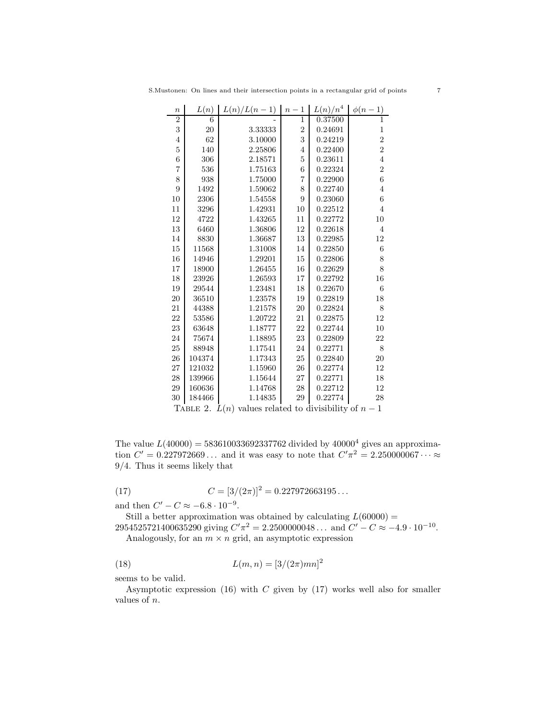| $\boldsymbol{n}$ | L(n)     | $L(n)/L(n-1)$                            | $\mathbf{1}$<br>$n -$ | $L(n)/n^4$                  | $\phi(n-1)$      |
|------------------|----------|------------------------------------------|-----------------------|-----------------------------|------------------|
| $\overline{2}$   | 6        |                                          | $\mathbf{1}$          | 0.37500                     | $\overline{1}$   |
| 3                | 20       | 3.33333                                  | $\overline{2}$        | 0.24691                     | $\mathbf{1}$     |
| $\overline{4}$   | 62       | 3.10000                                  | 3                     | 0.24219                     | $\overline{2}$   |
| $\overline{5}$   | 140      | 2.25806                                  | $\overline{4}$        | 0.22400                     | $\overline{2}$   |
| 6                | 306      | 2.18571                                  | 5                     | 0.23611                     | $\overline{4}$   |
| $\overline{7}$   | 536      | 1.75163                                  | 6                     | 0.22324                     | $\overline{2}$   |
| 8                | 938      | 1.75000                                  | $\overline{7}$        | 0.22900                     | $\overline{6}$   |
| 9                | 1492     | 1.59062                                  | 8                     | 0.22740                     | $\overline{4}$   |
| 10               | 2306     | 1.54558                                  | 9                     | 0.23060                     | $\boldsymbol{6}$ |
| 11               | 3296     | 1.42931                                  | 10                    | 0.22512                     | $\overline{4}$   |
| 12               | 4722     | 1.43265                                  | 11                    | 0.22772                     | 10               |
| 13               | 6460     | 1.36806                                  | 12                    | 0.22618                     | $\overline{4}$   |
| 14               | 8830     | 1.36687                                  | 13                    | 0.22985                     | 12               |
| 15               | 11568    | 1.31008                                  | 14                    | 0.22850                     | $\boldsymbol{6}$ |
| 16               | 14946    | 1.29201                                  | 15                    | 0.22806                     | 8                |
| 17               | 18900    | 1.26455                                  | 16                    | 0.22629                     | 8                |
| 18               | 23926    | 1.26593                                  | 17                    | 0.22792                     | 16               |
| 19               | 29544    | 1.23481                                  | 18                    | 0.22670                     | 6                |
| 20               | 36510    | 1.23578                                  | 19                    | 0.22819                     | 18               |
| 21               | 44388    | 1.21578                                  | 20                    | 0.22824                     | 8                |
| 22               | 53586    | 1.20722                                  | 21                    | 0.22875                     | 12               |
| 23               | 63648    | 1.18777                                  | 22                    | 0.22744                     | 10               |
| 24               | 75674    | 1.18895                                  | 23                    | 0.22809                     | 22               |
| 25               | 88948    | 1.17541                                  | 24                    | 0.22771                     | 8                |
| 26               | 104374   | 1.17343                                  | 25                    | 0.22840                     | 20               |
| 27               | 121032   | 1.15960                                  | 26                    | 0.22774                     | 12               |
| 28               | 139966   | 1.15644                                  | 27                    | 0.22771                     | 18               |
| 29               | 160636   | 1.14768                                  | 28                    | 0.22712                     | 12               |
| 30               | 184466   | 1.14835                                  | 29                    | 0.22774                     | 28               |
| $\mathbf{u}$     | $\Omega$ | $\tau$ (<br>$\mathbf{1}$<br>$\mathbf{1}$ |                       | $\cdot$ 1 $\cdot$ 1 $\cdot$ | $\mathbf{1}$     |

S.Mustonen: On lines and their intersection points in a rectangular grid of points 7

| TABLE 2. $L(n)$ values related to divisibility of $n-1$ |  |  |
|---------------------------------------------------------|--|--|
|---------------------------------------------------------|--|--|

The value  $L(40000) = 583610033692337762$  divided by  $40000^4$  gives an approximation  $C' = 0.227972669...$  and it was easy to note that  $C'\pi^2 = 2.250000067... \approx$ /4. Thus it seems likely that

(17) 
$$
C = [3/(2\pi)]^2 = 0.227972663195...
$$

and then  $C' - C \approx -6.8 \cdot 10^{-9}$ .

Still a better approximation was obtained by calculating  $L(60000) =$ 2954525721400635290 giving  $C'\pi^2 = 2.2500000048...$  and  $C' - C \approx -4.9 \cdot 10^{-10}$ .

Analogously, for an  $m \times n$  grid, an asymptotic expression

(18) 
$$
L(m, n) = [3/(2\pi)mn]^2
$$

seems to be valid.

Asymptotic expression  $(16)$  with C given by  $(17)$  works well also for smaller values of n.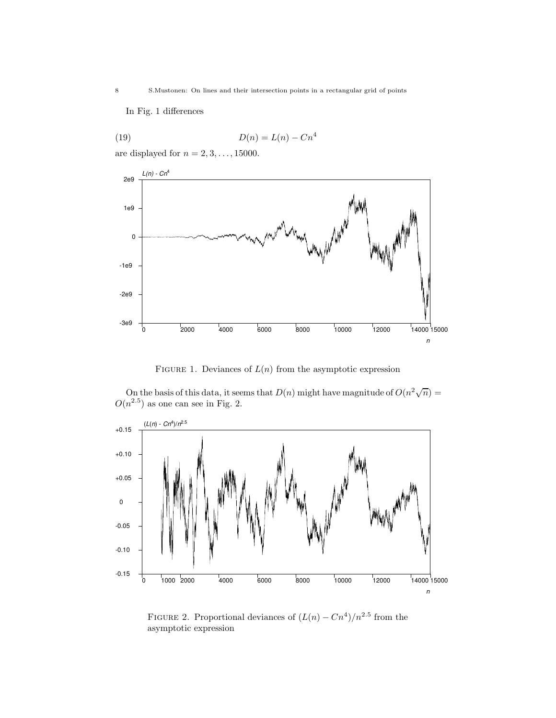In Fig. 1 differences

$$
(19) \t\t D(n) = L(n) - Cn^4
$$

are displayed for  $n = 2, 3, \ldots, 15000$ .



FIGURE 1. Deviances of  $L(n)$  from the asymptotic expression

On the basis of this data, it seems that  $D(n)$  might have magnitude of  $O(n^2\sqrt{n}) =$  $O(n^{2.5})$  as one can see in Fig. 2.



FIGURE 2. Proportional deviances of  $(L(n) - Cn^4)/n^{2.5}$  from the asymptotic expression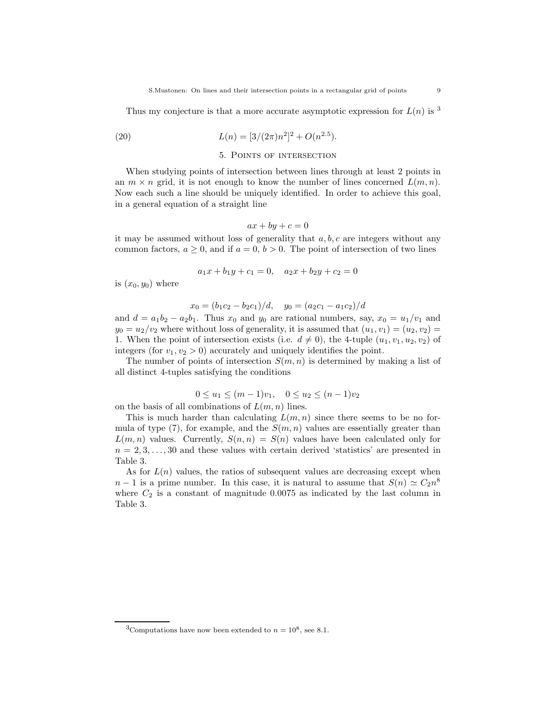Thus my conjecture is that a more accurate asymptotic expression for  $L(n)$  is <sup>3</sup>

(20) 
$$
L(n) = [3/(2\pi)n^2]^2 + O(n^{2.5}).
$$

### 5. Points of intersection

When studying points of intersection between lines through at least 2 points in an  $m \times n$  grid, it is not enough to know the number of lines concerned  $L(m, n)$ . Now each such a line should be uniquely identified. In order to achieve this goal, in a general equation of a straight line

$$
ax + by + c = 0
$$

it may be assumed without loss of generality that  $a, b, c$  are integers without any common factors,  $a \geq 0$ , and if  $a = 0$ ,  $b > 0$ . The point of intersection of two lines

$$
a_1x + b_1y + c_1 = 0, \quad a_2x + b_2y + c_2 = 0
$$

is  $(x_0, y_0)$  where

$$
x_0 = (b_1c_2 - b_2c_1)/d, \quad y_0 = (a_2c_1 - a_1c_2)/d
$$

and  $d = a_1b_2 - a_2b_1$ . Thus  $x_0$  and  $y_0$  are rational numbers, say,  $x_0 = u_1/v_1$  and  $y_0 = u_2/v_2$  where without loss of generality, it is assumed that  $(u_1, v_1) = (u_2, v_2) =$ 1. When the point of intersection exists (i.e.  $d \neq 0$ ), the 4-tuple  $(u_1, v_1, u_2, v_2)$  of integers (for  $v_1, v_2 > 0$ ) accurately and uniquely identifies the point.

The number of points of intersection  $S(m, n)$  is determined by making a list of all distinct 4-tuples satisfying the conditions

$$
0 \le u_1 \le (m-1)v_1, \quad 0 \le u_2 \le (n-1)v_2
$$

on the basis of all combinations of  $L(m, n)$  lines.

This is much harder than calculating  $L(m, n)$  since there seems to be no formula of type (7), for example, and the  $S(m, n)$  values are essentially greater than  $L(m, n)$  values. Currently,  $S(n, n) = S(n)$  values have been calculated only for  $n = 2, 3, \ldots, 30$  and these values with certain derived 'statistics' are presented in Table 3.

As for  $L(n)$  values, the ratios of subsequent values are decreasing except when  $n-1$  is a prime number. In this case, it is natural to assume that  $S(n) \simeq C_2 n^8$ where  $C_2$  is a constant of magnitude 0.0075 as indicated by the last column in Table 3.

<sup>&</sup>lt;sup>3</sup>Computations have now been extended to  $n = 10^8$ , see 8.1.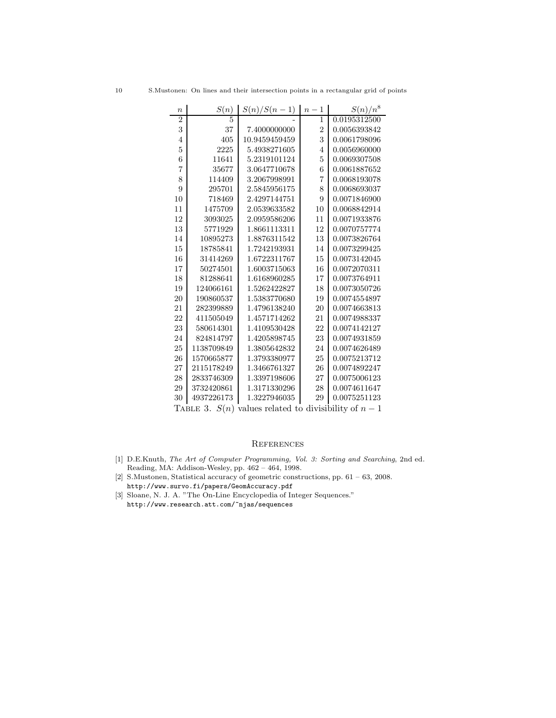| $\boldsymbol{n}$ | S(n)            | $S(n)/S(n-1)$                           | $n-1$          | $S(n)/n^8$   |
|------------------|-----------------|-----------------------------------------|----------------|--------------|
| $\overline{2}$   | 5               |                                         | 1              | 0.0195312500 |
| 3                | 37              | 7.4000000000                            | $\overline{2}$ | 0.0056393842 |
| $\overline{4}$   | 405             | 10.9459459459                           | 3              | 0.0061798096 |
| $\overline{5}$   | 2225            | 5.4938271605                            | $\overline{4}$ | 0.0056960000 |
| 6                | 11641           | 5.2319101124                            | 5              | 0.0069307508 |
| $\overline{7}$   | 35677           | 3.0647710678                            | 6              | 0.0061887652 |
| 8                | 114409          | 3.2067998991                            | 7              | 0.0068193078 |
| 9                | 295701          | 2.5845956175                            | 8              | 0.0068693037 |
| 10               | 718469          | 2.4297144751                            | 9              | 0.0071846900 |
| 11               | 1475709         | 2.0539633582                            | 10             | 0.0068842914 |
| 12               | 3093025         | 2.0959586206                            | 11             | 0.0071933876 |
| 13               | 5771929         | 1.8661113311                            | 12             | 0.0070757774 |
| 14               | 10895273        | 1.8876311542                            | 13             | 0.0073826764 |
| 15               | 18785841        | 1.7242193931                            | 14             | 0.0073299425 |
| 16               | 31414269        | 1.6722311767                            | 15             | 0.0073142045 |
| 17               | 50274501        | 1.6003715063                            | 16             | 0.0072070311 |
| 18               | 81288641        | 1.6168960285                            | 17             | 0.0073764911 |
| 19               | 124066161       | 1.5262422827                            | 18             | 0.0073050726 |
| 20               | 190860537       | 1.5383770680                            | 19             | 0.0074554897 |
| 21               | 282399889       | 1.4796138240                            | 20             | 0.0074663813 |
| 22               | 411505049       | 1.4571714262                            | 21             | 0.0074988337 |
| 23               | 580614301       | 1.4109530428                            | 22             | 0.0074142127 |
| 24               | 824814797       | 1.4205898745                            | 23             | 0.0074931859 |
| 25               | 1138709849      | 1.3805642832                            | 24             | 0.0074626489 |
| 26               | 1570665877      | 1.3793380977                            | 25             | 0.0075213712 |
| 27               | 2115178249      | 1.3466761327                            | 26             | 0.0074892247 |
| 28               | 2833746309      | 1.3397198606                            | 27             | 0.0075006123 |
| 29               | 3732420861      | 1.3171330296                            | 28             | 0.0074611647 |
| 30               | 4937226173      | 1.3227946035                            | 29             | 0.0075251123 |
|                  | TABLE 3. $S(n)$ | values related to divisibility of $n-1$ |                |              |

# **REFERENCES**

- [1] D.E.Knuth, The Art of Computer Programming, Vol. 3: Sorting and Searching, 2nd ed. Reading, MA: Addison-Wesley, pp. 462 – 464, 1998.
- [2] S.Mustonen, Statistical accuracy of geometric constructions, pp. 61 63, 2008. http://www.survo.fi/papers/GeomAccuracy.pdf
- [3] Sloane, N. J. A. "The On-Line Encyclopedia of Integer Sequences." http://www.research.att.com/~njas/sequences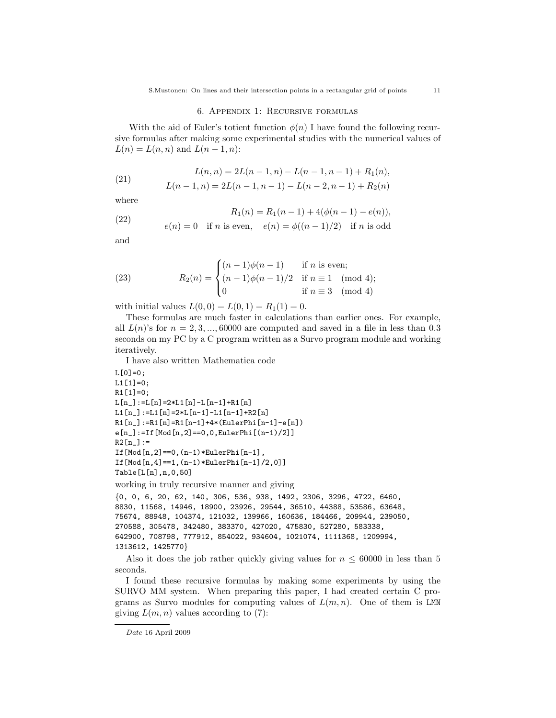#### 6. Appendix 1: Recursive formulas

With the aid of Euler's totient function  $\phi(n)$  I have found the following recursive formulas after making some experimental studies with the numerical values of  $L(n) = L(n, n)$  and  $L(n - 1, n)$ :

(21) 
$$
L(n, n) = 2L(n - 1, n) - L(n - 1, n - 1) + R_1(n),
$$

$$
L(n - 1, n) = 2L(n - 1, n - 1) - L(n - 2, n - 1) + R_2(n)
$$

where

(22) 
$$
R_1(n) = R_1(n-1) + 4(\phi(n-1) - e(n)),
$$

$$
e(n) = 0 \quad \text{if } n \text{ is even}, \quad e(n) = \phi((n-1)/2) \quad \text{if } n \text{ is odd}
$$

and

(23) 
$$
R_2(n) = \begin{cases} (n-1)\phi(n-1) & \text{if } n \text{ is even;} \\ (n-1)\phi(n-1)/2 & \text{if } n \equiv 1 \pmod{4}; \\ 0 & \text{if } n \equiv 3 \pmod{4} \end{cases}
$$

with initial values  $L(0, 0) = L(0, 1) = R_1(1) = 0$ .

These formulas are much faster in calculations than earlier ones. For example, all  $L(n)$ 's for  $n = 2, 3, \ldots, 60000$  are computed and saved in a file in less than 0.3 seconds on my PC by a C program written as a Survo program module and working iteratively.

I have also written Mathematica code

```
L[0]=0;L1[1]=0;
R1[1]=0;
L[n_]:=L[n]=2*L1[n]-L[n-1]+R1[n]L1[n_]:=L1[n]=2*L[n-1]-L1[n-1]+R2[n]R1[n_]:=R1[n]=R1[n-1]+4*(EulerPhi[n-1]-e[n])
e[n_]:=If[Mod[n,2]==0,0,EulerPhi[(n-1)/2]]
R2[n_]:=If[Mod[n,2] == 0, (n-1)*EulerPhi[n-1],If[Mod[n,4]==1,(n-1)*EulerPhi[n-1]/2,0]]
Table[L[n],n,0,50]
working in truly recursive manner and giving
{0, 0, 6, 20, 62, 140, 306, 536, 938, 1492, 2306, 3296, 4722, 6460,
8830, 11568, 14946, 18900, 23926, 29544, 36510, 44388, 53586, 63648,
75674, 88948, 104374, 121032, 139966, 160636, 184466, 209944, 239050,
270588, 305478, 342480, 383370, 427020, 475830, 527280, 583338,
642900, 708798, 777912, 854022, 934604, 1021074, 1111368, 1209994,
1313612, 1425770}
```
Also it does the job rather quickly giving values for  $n \leq 60000$  in less than 5 seconds.

I found these recursive formulas by making some experiments by using the SURVO MM system. When preparing this paper, I had created certain C programs as Survo modules for computing values of  $L(m, n)$ . One of them is LMN giving  $L(m, n)$  values according to (7):

Date 16 April 2009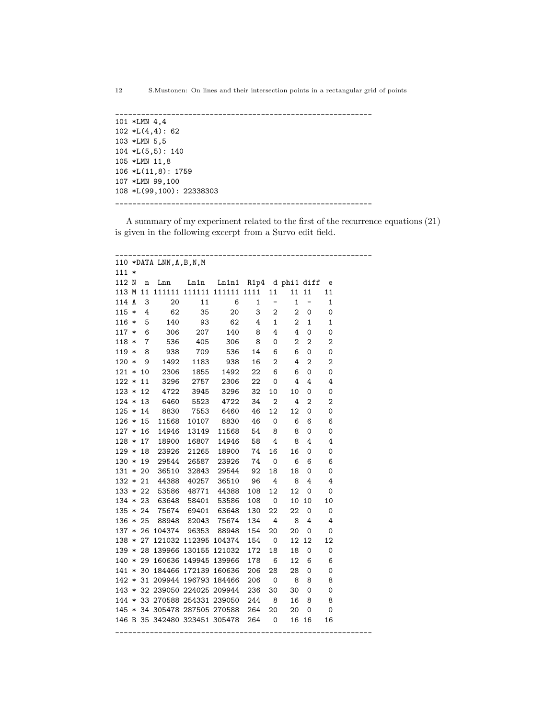\_\_\_\_\_\_\_\_\_\_\_\_\_\_\_\_\_\_\_\_\_\_\_\_\_\_\_\_\_\_\_\_\_\_\_\_\_\_\_\_\_\_\_\_\_\_\_\_\_\_\_\_\_\_\_\_\_\_\_\_ 101 \*LMN 4,4  $102 *L(4,4): 62$ 103 \*LMN 5,5 104 \*L(5,5): 140 105 \*LMN 11,8 106 \*L(11,8): 1759 107 \*LMN 99,100 108 \*L(99,100): 22338303 \_\_\_\_\_\_\_\_\_\_\_\_\_\_\_\_\_\_\_\_\_\_\_\_\_\_\_\_\_\_\_\_\_\_\_\_\_\_\_\_\_\_\_\_\_\_\_\_\_\_\_\_\_\_\_\_\_\_\_\_

A summary of my experiment related to the first of the recurrence equations (21) is given in the following excerpt from a Survo edit field.

|            |                | 110 *DATA LNN, A, B, N, M |             |                               |                        |                         |                  |                |                |
|------------|----------------|---------------------------|-------------|-------------------------------|------------------------|-------------------------|------------------|----------------|----------------|
| $111 *$    |                |                           |             |                               |                        |                         |                  |                |                |
| 112 N      | n              | Lnn                       | Ln1n        |                               | Ln1n1 R1p4 d phi1 diff |                         |                  |                | e              |
| 113 M 11   |                |                           |             | 111111 111111 111111 1111     |                        | 11                      |                  | 11 11          | 11             |
| 114 A      | 3              | 20                        | 11          | 6                             | 1                      | <sup>-</sup>            | 1                | -              | 1              |
| $115 *$    | 4              | 62                        | 35          | 20                            | 3                      | $\boldsymbol{2}$        | $\overline{2}$   | 0              | 0              |
| $116 *$    | 5              | 140                       | 93          | 62                            | 4                      | $\mathbf{1}$            | $\overline{2}$   | $\mathbf{1}$   | $\mathbf 1$    |
| $117 *$    | 6              | 306                       | 207         | 140                           | 8                      | 4                       | 4                | 0              | 0              |
| $118 *$    | $\overline{7}$ | 536                       | 405         | 306                           | 8                      | 0                       | 2                | 2              | $\overline{2}$ |
| $119 *$    | 8              | 938                       | 709         | 536                           | 14                     | 6                       | 6                | 0              | 0              |
| $120 *$    | - 9            | 1492                      | 1183        | 938                           | 16                     | $\overline{2}$          | 4                | $\overline{2}$ | $\overline{2}$ |
| $121 * 10$ |                | 2306                      | 1855        | 1492                          | 22                     | 6                       | 6                | 0              | 0              |
| $122 *$    | 11             | 3296                      | 2757        | 2306                          | 22                     | 0                       | 4                | 4              | 4              |
| $123 * 12$ |                | 4722                      | 3945        | 3296                          | 32                     | 10                      | 10               | 0              | 0              |
| $124 * 13$ |                | 6460                      | 5523        | 4722                          | 34                     | $\overline{2}$          | 4                | 2              | $\overline{2}$ |
| $125 * 14$ |                | 8830                      | 7553        | 6460                          | 46                     | 12                      | 12               | 0              | 0              |
| $126 * 15$ |                | 11568                     | 10107       | 8830                          | 46                     | 0                       | 6                | 6              | 6              |
| $127 * 16$ |                | 14946                     | 13149       | 11568                         | 54                     | 8                       | 8                | 0              | 0              |
| $128 * 17$ |                | 18900                     | 16807       | 14946                         | 58                     | 4                       | 8                | 4              | 4              |
| $129 * 18$ |                |                           | 23926 21265 | 18900                         | 74                     | 16                      | 16               | 0              | 0              |
| $130 * 19$ |                |                           | 29544 26587 | 23926                         | 74                     | 0                       | 6                | 6              | 6              |
| $131 * 20$ |                |                           | 36510 32843 | 29544                         | 92                     | 18                      | 18               | 0              | 0              |
| $132 * 21$ |                |                           | 44388 40257 | 36510                         | 96                     | 4                       | 8                | 4              | 4              |
| $133 * 22$ |                |                           | 53586 48771 | 44388                         | 108                    | 12                      | 12               | 0              | 0              |
| $134 * 23$ |                |                           | 63648 58401 | 53586                         | 108                    | $\overline{\mathbf{0}}$ |                  | 10 10          | 10             |
| $135 * 24$ |                |                           | 75674 69401 | 63648                         | 130                    | 22                      | 22               | 0              | 0              |
| $136 * 25$ |                |                           | 88948 82043 | 75674                         | 134                    | $\overline{4}$          | 8                | 4              | 4              |
|            |                | 137 * 26 104374 96353     |             | 88948                         | 154                    | 20                      | 20               | 0              | 0              |
| $138 * 27$ |                |                           |             | 121032 112395 104374          | 154                    | $\overline{0}$          | 12 <sup>12</sup> | 12             | 12             |
|            |                |                           |             | 139 * 28 139966 130155 121032 | 172                    | 18                      | 18               | 0              | $\mathbf 0$    |
| $140 * 29$ |                |                           |             | 160636 149945 139966          | 178                    | 6                       | 12               | 6              | 6              |
| $141 * 30$ |                |                           |             | 184466 172139 160636          | 206                    | 28                      | 28               | 0              | 0              |
|            |                |                           |             | 142 * 31 209944 196793 184466 | 206                    | 0                       | 8                | 8              | 8              |
|            |                |                           |             | 143 * 32 239050 224025 209944 | 236                    | 30                      | 30               | 0              | 0              |
|            |                |                           |             | 144 * 33 270588 254331 239050 | 244                    | 8                       | 16               | 8              | 8              |
|            |                |                           |             | 145 * 34 305478 287505 270588 | 264                    | 20                      | 20               | 0              | 0              |
|            |                |                           |             | 146 B 35 342480 323451 305478 | 264                    | 0                       |                  | 16 16          | 16             |
|            |                |                           |             |                               |                        |                         |                  |                |                |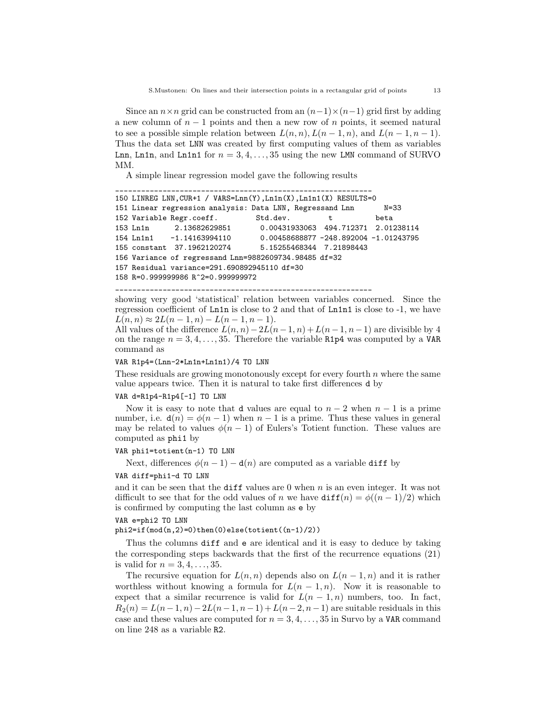Since an  $n \times n$  grid can be constructed from an  $(n-1) \times (n-1)$  grid first by adding a new column of  $n-1$  points and then a new row of n points, it seemed natural to see a possible simple relation between  $L(n, n)$ ,  $L(n - 1, n)$ , and  $L(n - 1, n - 1)$ . Thus the data set LNN was created by first computing values of them as variables Lnn, Ln1n, and Ln1n1 for  $n = 3, 4, \ldots, 35$  using the new LMN command of SURVO MM.

A simple linear regression model gave the following results

```
____________________________________________________________
150 LINREG LNN,CUR+1 / VARS=Lnn(Y),Ln1n(X),Ln1n1(X) RESULTS=0
151 Linear regression analysis: Data LNN, Regressand Lnn N=33
152 Variable Regr.coeff. Std.dev. t beta
153 Ln1n 2.13682629851 0.00431933063 494.712371 2.01238114
154 Ln1n1 -1.14163994110 0.00458688877 -248.892004 -1.01243795
155 constant 37.1962120274 5.15255468344 7.21898443
156 Variance of regressand Lnn=9882609734.98485 df=32
157 Residual variance=291.690892945110 df=30
158 R=0.999999986 R^2=0.999999972
```
\_\_\_\_\_\_\_\_\_\_\_\_\_\_\_\_\_\_\_\_\_\_\_\_\_\_\_\_\_\_\_\_\_\_\_\_\_\_\_\_\_\_\_\_\_\_\_\_\_\_\_\_\_\_\_\_\_\_\_\_

showing very good 'statistical' relation between variables concerned. Since the regression coefficient of Ln1n is close to 2 and that of Ln1n1 is close to -1, we have  $L(n, n) \approx 2L(n-1, n) - L(n-1, n-1).$ 

All values of the difference  $L(n, n) - 2L(n-1, n) + L(n-1, n-1)$  are divisible by 4 on the range  $n = 3, 4, \ldots, 35$ . Therefore the variable R1p4 was computed by a VAR command as

#### VAR R1p4=(Lnn-2\*Ln1n+Ln1n1)/4 TO LNN

These residuals are growing monotonously except for every fourth  $n$  where the same value appears twice. Then it is natural to take first differences d by

#### VAR d=R1p4-R1p4[-1] TO LNN

Now it is easy to note that d values are equal to  $n-2$  when  $n-1$  is a prime number, i.e.  $d(n) = \phi(n-1)$  when  $n-1$  is a prime. Thus these values in general may be related to values  $\phi(n-1)$  of Eulers's Totient function. These values are computed as phi1 by

#### VAR phi1=totient(n-1) TO LNN

Next, differences  $\phi(n-1) - d(n)$  are computed as a variable diff by

#### VAR diff=phi1-d TO LNN

and it can be seen that the diff values are  $0$  when  $n$  is an even integer. It was not difficult to see that for the odd values of n we have  $diff(n) = \phi((n-1)/2)$  which is confirmed by computing the last column as e by

#### VAR e=phi2 TO LNN

phi2=if(mod(n,2)=0)then(0)else(totient((n-1)/2))

Thus the columns diff and e are identical and it is easy to deduce by taking the corresponding steps backwards that the first of the recurrence equations (21) is valid for  $n = 3, 4, \ldots, 35$ .

The recursive equation for  $L(n, n)$  depends also on  $L(n - 1, n)$  and it is rather worthless without knowing a formula for  $L(n-1,n)$ . Now it is reasonable to expect that a similar recurrence is valid for  $L(n-1,n)$  numbers, too. In fact,  $R_2(n) = L(n-1, n) - 2L(n-1, n-1) + L(n-2, n-1)$  are suitable residuals in this case and these values are computed for  $n = 3, 4, \ldots, 35$  in Survo by a VAR command on line 248 as a variable R2.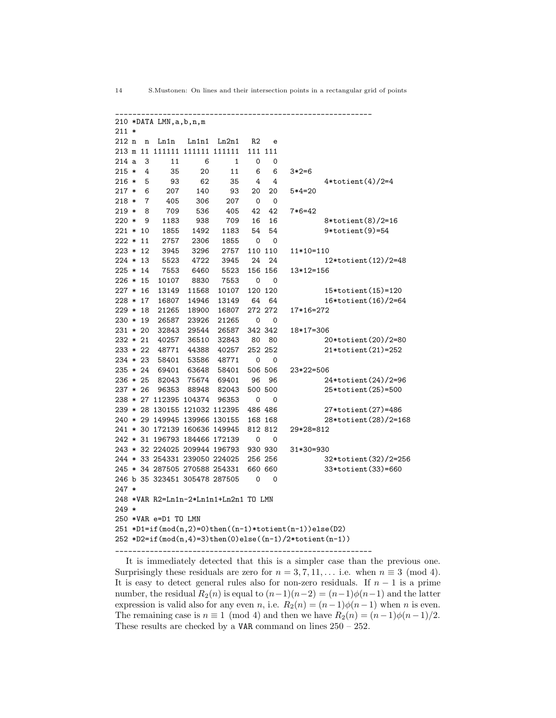14 S.Mustonen: On lines and their intersection points in a rectangular grid of points

It is immediately detected that this is a simpler case than the previous one. Surprisingly these residuals are zero for  $n = 3, 7, 11, \ldots$  i.e. when  $n \equiv 3 \pmod{4}$ . It is easy to detect general rules also for non-zero residuals. If  $n-1$  is a prime number, the residual  $R_2(n)$  is equal to  $(n-1)(n-2) = (n-1)\phi(n-1)$  and the latter expression is valid also for any even n, i.e.  $R_2(n) = (n-1)\phi(n-1)$  when n is even. The remaining case is  $n \equiv 1 \pmod{4}$  and then we have  $R_2(n) = (n-1)\phi(n-1)/2$ . These results are checked by a VAR command on lines 250 – 252.

\_\_\_\_\_\_\_\_\_\_\_\_\_\_\_\_\_\_\_\_\_\_\_\_\_\_\_\_\_\_\_\_\_\_\_\_\_\_\_\_\_\_\_\_\_\_\_\_\_\_\_\_\_\_\_\_\_\_\_\_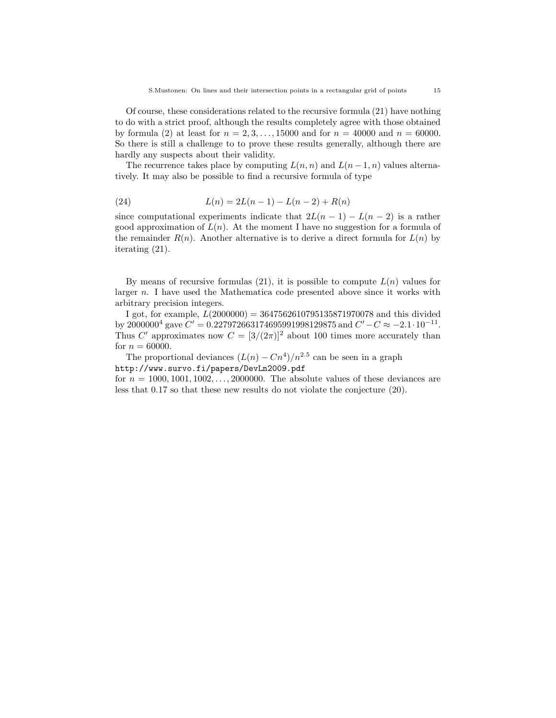Of course, these considerations related to the recursive formula (21) have nothing to do with a strict proof, although the results completely agree with those obtained by formula (2) at least for  $n = 2, 3, ..., 15000$  and for  $n = 40000$  and  $n = 60000$ . So there is still a challenge to to prove these results generally, although there are hardly any suspects about their validity.

The recurrence takes place by computing  $L(n, n)$  and  $L(n-1, n)$  values alternatively. It may also be possible to find a recursive formula of type

(24) 
$$
L(n) = 2L(n-1) - L(n-2) + R(n)
$$

since computational experiments indicate that  $2L(n-1) - L(n-2)$  is a rather good approximation of  $L(n)$ . At the moment I have no suggestion for a formula of the remainder  $R(n)$ . Another alternative is to derive a direct formula for  $L(n)$  by iterating (21).

By means of recursive formulas  $(21)$ , it is possible to compute  $L(n)$  values for larger n. I have used the Mathematica code presented above since it works with arbitrary precision integers.

I got, for example,  $L(2000000) = 3647562610795135871970078$  and this divided by 2000000<sup>4</sup> gave  $C' = 0.227972663174695991998129875$  and  $C' - C \approx -2.1 \cdot 10^{-11}$ . Thus C' approximates now  $C = \left[\frac{3}{2\pi}\right]^2$  about 100 times more accurately than for  $n = 60000$ .

The proportional deviances  $(L(n) - Cn^4)/n^{2.5}$  can be seen in a graph http://www.survo.fi/papers/DevLn2009.pdf

for  $n = 1000, 1001, 1002, \ldots, 2000000$ . The absolute values of these deviances are less that 0.17 so that these new results do not violate the conjecture (20).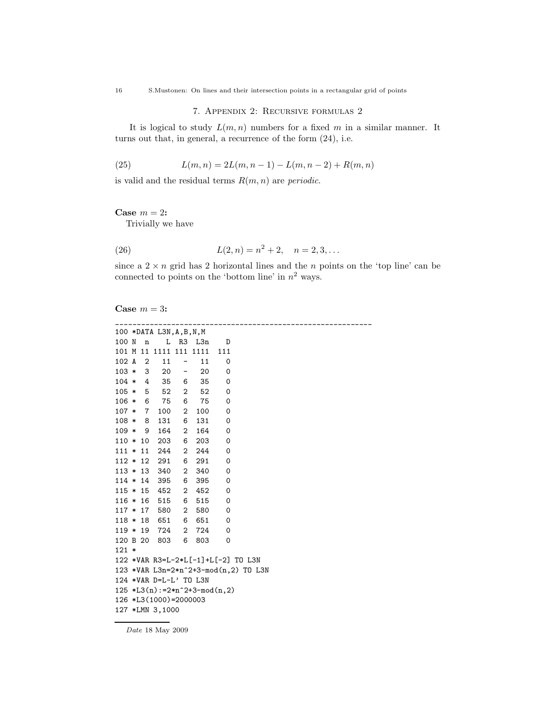16 S.Mustonen: On lines and their intersection points in a rectangular grid of points

# 7. Appendix 2: Recursive formulas 2

It is logical to study  $L(m, n)$  numbers for a fixed m in a similar manner. It turns out that, in general, a recurrence of the form (24), i.e.

(25) 
$$
L(m, n) = 2L(m, n-1) - L(m, n-2) + R(m, n)
$$

is valid and the residual terms  $R(m, n)$  are *periodic*.

Case  $m = 2$ :

Trivially we have

(26) 
$$
L(2, n) = n^2 + 2, \quad n = 2, 3, ...
$$

since a  $2 \times n$  grid has 2 horizontal lines and the n points on the 'top line' can be connected to points on the 'bottom line' in  $n^2$  ways.

## Case  $m = 3$ :

|            |                |                        |                          | 100 *DATA L3N,A,B,N,M                 |             |                                                 |  |
|------------|----------------|------------------------|--------------------------|---------------------------------------|-------------|-------------------------------------------------|--|
| 100 N n    |                |                        |                          | L R3 L3n                              | D           |                                                 |  |
|            |                | 101 M 11 1111 111 1111 |                          |                                       | 111         |                                                 |  |
| 102 A      | $\overline{2}$ | 11                     | $\overline{\phantom{a}}$ | 11                                    | 0           |                                                 |  |
| $103 * 3$  |                | 20                     |                          | 20<br>$\frac{1}{2}$ and $\frac{1}{2}$ | 0           |                                                 |  |
| $104 * 4$  |                | 35                     | 6                        | 35                                    | 0           |                                                 |  |
|            |                | $105 * 5 52$           | 2                        | 52                                    | 0           |                                                 |  |
| $106 * 6$  |                | 75                     | 6                        | 75                                    | $\mathbf 0$ |                                                 |  |
| $107 * 7$  |                | 100                    | $\mathbf{2}$             | 100                                   | 0           |                                                 |  |
| $108 * 8$  |                | 131                    | 6                        | 131                                   | 0           |                                                 |  |
| $109 * 9$  |                | 164                    | $\overline{2}$           | 164                                   | $\mathbf 0$ |                                                 |  |
| $110 * 10$ |                | 203                    | 6                        | 203                                   | 0           |                                                 |  |
| $111 * 11$ |                | 244                    | $\mathbf{2}$             | 244                                   | 0           |                                                 |  |
| $112 * 12$ |                | 291                    | 6                        | 291                                   | 0           |                                                 |  |
| $113 * 13$ |                | 340                    | $\overline{2}$           | 340                                   | $\mathbf 0$ |                                                 |  |
| $114 * 14$ |                | 395                    | 6                        | 395                                   | 0           |                                                 |  |
| $115 * 15$ |                | 452                    |                          | 2 452                                 | $\mathbf 0$ |                                                 |  |
| $116 * 16$ |                | 515                    | 6                        | 515                                   | $\mathbf 0$ |                                                 |  |
| $117 * 17$ |                | 580                    | $\overline{2}$           | 580                                   | 0           |                                                 |  |
| $118 * 18$ |                | 651                    |                          | 6 651                                 | $\Omega$    |                                                 |  |
| $119 * 19$ |                | 724                    |                          | 2 724                                 | 0           |                                                 |  |
| 120 B 20   |                | 803                    | 6                        | 803                                   | $\mathbf 0$ |                                                 |  |
| $121 *$    |                |                        |                          |                                       |             |                                                 |  |
|            |                |                        |                          |                                       |             | 122 *VAR R3=L-2*L[-1]+L[-2] TO L3N              |  |
|            |                |                        |                          |                                       |             | 123 *VAR L3n=2*n <sup>2+3-mod(n,2)</sup> TO L3N |  |
|            |                | 124 *VAR D=L-L' TO L3N |                          |                                       |             |                                                 |  |
|            |                |                        |                          | $125 * L3(n) := 2*n^2+3-mod(n,2)$     |             |                                                 |  |
|            |                | 126 *L3(1000)=2000003  |                          |                                       |             |                                                 |  |
|            |                | 127 *LMN 3,1000        |                          |                                       |             |                                                 |  |

 $Date$ 18 May 2009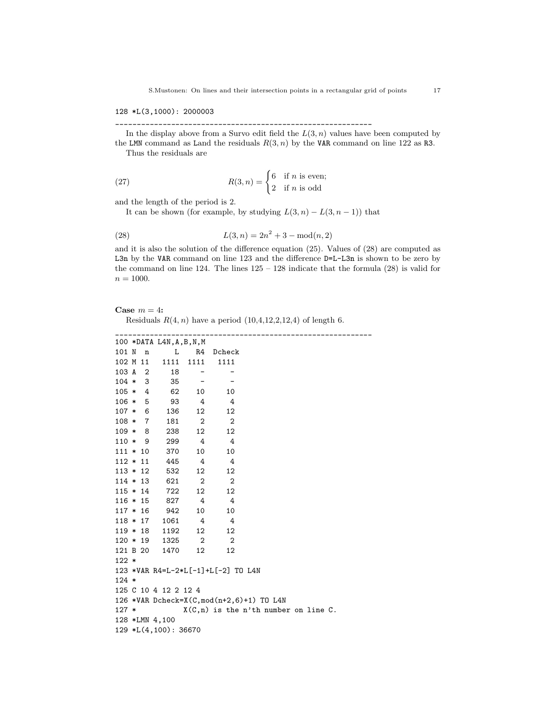128 \*L(3,1000): 2000003

\_\_\_\_\_\_\_\_\_\_\_\_\_\_\_\_\_\_\_\_\_\_\_\_\_\_\_\_\_\_\_\_\_\_\_\_\_\_\_\_\_\_\_\_\_\_\_\_\_\_\_\_\_\_\_\_\_\_\_\_

In the display above from a Survo edit field the  $L(3, n)$  values have been computed by the LMN command as Land the residuals  $R(3, n)$  by the VAR command on line 122 as R3. Thus the residuals are

(27)  $R(3, n) = \begin{cases} 6 & \text{if } n \text{ is even;} \\ 2 & \text{if } n \text{ is even;} \end{cases}$ 2 if n is odd

and the length of the period is 2.

It can be shown (for example, by studying  $L(3, n) - L(3, n-1)$ ) that

(28) 
$$
L(3, n) = 2n^2 + 3 - \text{mod}(n, 2)
$$

and it is also the solution of the difference equation (25). Values of (28) are computed as L3n by the VAR command on line 123 and the difference D=L-L3n is shown to be zero by the command on line  $124$ . The lines  $125 - 128$  indicate that the formula  $(28)$  is valid for  $n = 1000$ .

\_\_\_\_\_\_\_\_\_\_\_\_\_\_\_\_\_\_\_\_\_\_\_\_\_\_\_\_\_\_\_\_\_\_\_\_\_\_\_\_\_\_\_\_\_\_\_\_\_\_\_\_\_\_\_\_\_\_\_\_

#### Case  $m = 4$ :

Residuals  $R(4, n)$  have a period  $(10, 4, 12, 2, 12, 4)$  of length 6.

|            |             | 100 *DATA L4N, A, B, N, M                     |                                         |                            |                |  |  |  |
|------------|-------------|-----------------------------------------------|-----------------------------------------|----------------------------|----------------|--|--|--|
| 101 N      | $\mathbf n$ | L                                             | R4                                      | Dcheck                     |                |  |  |  |
| 102 M 11   |             | 1111                                          | 1111                                    | 1111                       |                |  |  |  |
| 103 A 2    |             | 18                                            |                                         |                            |                |  |  |  |
| $104 * 3$  |             | 35                                            |                                         |                            |                |  |  |  |
| $105 * 4$  |             | 62                                            | 10                                      |                            | 10             |  |  |  |
| $106 * 5$  |             | 93                                            | 4                                       |                            | 4              |  |  |  |
| $107 * 6$  |             | 136                                           | 12                                      |                            | 12             |  |  |  |
|            | $108 * 7$   | 181                                           | $\overline{\phantom{a}}$                | $\overline{\phantom{0}}^2$ |                |  |  |  |
|            | $109 * 8$   | 238                                           | 12                                      |                            | 12             |  |  |  |
|            | $110 * 9$   | 299                                           | 4                                       |                            | $\overline{4}$ |  |  |  |
|            | $111 * 10$  | 370                                           | 10                                      |                            | 10             |  |  |  |
|            |             | $112 * 11$ 445 4                              |                                         | $\overline{4}$             |                |  |  |  |
|            | $113 * 12$  | 532                                           | 12                                      |                            | 12             |  |  |  |
|            | $114 * 13$  | 621                                           | $\mathbf{2}$                            |                            | $\overline{2}$ |  |  |  |
| $115 * 14$ |             | 722                                           | 12                                      |                            | 12             |  |  |  |
| $116 * 15$ |             | 827                                           | 4                                       | $\overline{4}$             |                |  |  |  |
|            |             | $117 * 16$ 942                                | 10                                      |                            | 10             |  |  |  |
|            | $118 * 17$  | 1061                                          | 4                                       |                            | $\overline{4}$ |  |  |  |
|            | $119 * 18$  | 1192                                          | 12                                      |                            | 12             |  |  |  |
|            |             | $120 * 19$ $1325$ 2                           |                                         | $\overline{\phantom{0}}^2$ |                |  |  |  |
|            |             | 121 B 20 1470                                 | 12                                      |                            | 12             |  |  |  |
| $122 *$    |             |                                               |                                         |                            |                |  |  |  |
|            |             | 123 *VAR R4=L-2*L[-1]+L[-2] TO L4N            |                                         |                            |                |  |  |  |
| $124 *$    |             |                                               |                                         |                            |                |  |  |  |
|            |             | 125 C 10 4 12 2 12 4                          |                                         |                            |                |  |  |  |
|            |             | 126 *VAR Dcheck=X $(C, mod(n+2, 6)+1)$ TO L4N |                                         |                            |                |  |  |  |
| $127 *$    |             |                                               | $X(C, n)$ is the n'th number on line C. |                            |                |  |  |  |
|            |             | 128 *LMN 4,100                                |                                         |                            |                |  |  |  |
|            |             | 129 *L(4,100): 36670                          |                                         |                            |                |  |  |  |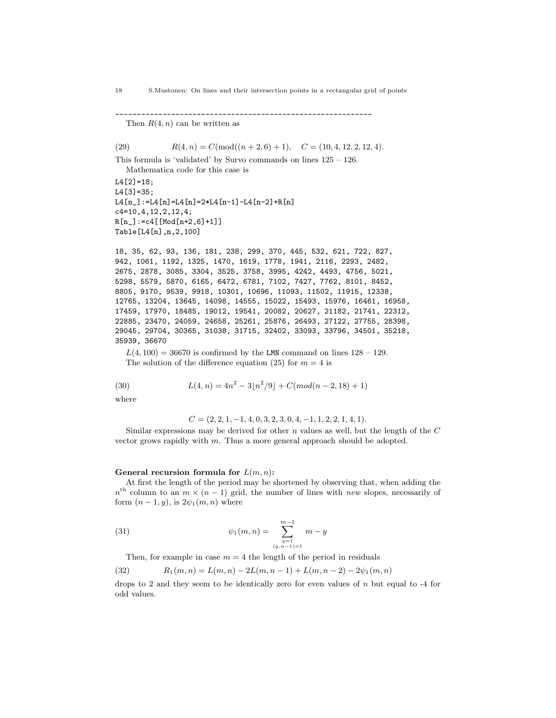```
____________________________________________________________
```
Then  $R(4, n)$  can be written as

(29)  $R(4, n) = C(\text{mod}((n+2, 6) + 1), \quad C = (10, 4, 12, 2, 12, 4).$ 

This formula is 'validated' by Survo commands on lines 125 – 126.

```
Mathematica code for this case is
L4[2]=18:
L4[3]=35;
L4[n_]:=L4[n]=L4[n]=2*L4[n-1]-L4[n-2]+R[n]c4=10,4,12,2,12,4;
R[n_]:=c4[Mod[n+2,6]+1]]Table[L4[n],n,2,100]
```
18, 35, 62, 93, 136, 181, 238, 299, 370, 445, 532, 621, 722, 827, 942, 1061, 1192, 1325, 1470, 1619, 1778, 1941, 2116, 2293, 2482, 2675, 2878, 3085, 3304, 3525, 3758, 3995, 4242, 4493, 4756, 5021, 5298, 5579, 5870, 6165, 6472, 6781, 7102, 7427, 7762, 8101, 8452, 8805, 9170, 9539, 9918, 10301, 10696, 11093, 11502, 11915, 12338, 12765, 13204, 13645, 14098, 14555, 15022, 15493, 15976, 16461, 16958, 17459, 17970, 18485, 19012, 19541, 20082, 20627, 21182, 21741, 22312, 22885, 23470, 24059, 24658, 25261, 25876, 26493, 27122, 27755, 28398, 29045, 29704, 30365, 31038, 31715, 32402, 33093, 33796, 34501, 35218, 35939, 36670

 $L(4, 100) = 36670$  is confirmed by the LMN command on lines  $128 - 129$ . The solution of the difference equation (25) for  $m = 4$  is

(30) 
$$
L(4, n) = 4n^2 - 3\lfloor n^2/9 \rfloor + C(mod(n-2, 18) + 1)
$$

where

 $C = (2, 2, 1, -1, 4, 0, 3, 2, 3, 0, 4, -1, 1, 2, 2, 1, 4, 1).$ 

Similar expressions may be derived for other  $n$  values as well, but the length of the  $C$ vector grows rapidly with m. Thus a more general approach should be adopted.

#### General recursion formula for  $L(m, n)$ :

At first the length of the period may be shortened by observing that, when adding the  $n<sup>th</sup>$  column to an  $m \times (n-1)$  grid, the number of lines with new slopes, necessarily of form  $(n-1, y)$ , is  $2\psi_1(m, n)$  where

(31) 
$$
\psi_1(m,n) = \sum_{\substack{y=1 \ (y,n-1)=1}}^{m-1} m - y
$$

Then, for example in case  $m = 4$  the length of the period in residuals

(32) 
$$
R_1(m,n) = L(m,n) - 2L(m,n-1) + L(m,n-2) - 2\psi_1(m,n)
$$

drops to 2 and they seem to be identically zero for even values of  $n$  but equal to -4 for odd values.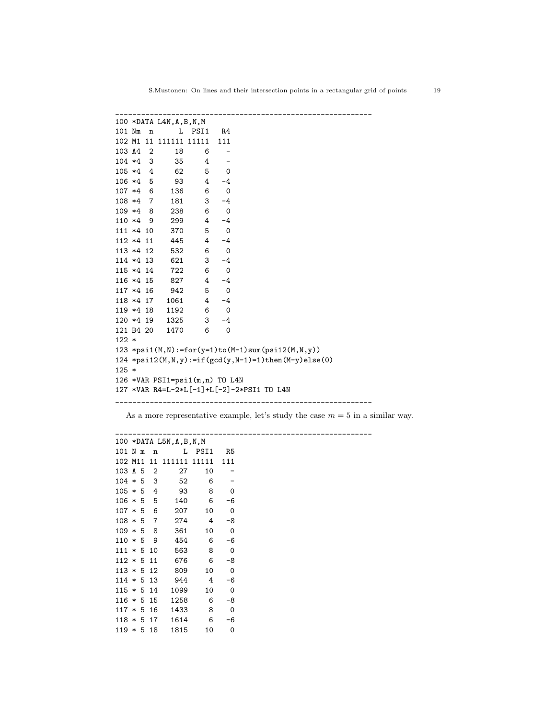|             |  | $100 * DATA$ $L4N$ , $A$ , $B$ , $N$ , $M$ |            |                          |                                                        |
|-------------|--|--------------------------------------------|------------|--------------------------|--------------------------------------------------------|
| 101 Nm n    |  |                                            | L PSI1     | R4                       |                                                        |
|             |  | 102 M1 11 111111 11111                     |            | 111                      |                                                        |
| 103 A4 2    |  | 18                                         | 6          |                          |                                                        |
|             |  | 104 *4 3 35 4                              |            |                          |                                                        |
| $105 * 4 4$ |  | 62                                         | 5          | $\mathbf 0$              |                                                        |
|             |  | 106 *4 5 93                                | 4          | $-4$                     |                                                        |
| $107 *4 6$  |  |                                            | 6<br>136   | $\mathbf 0$              |                                                        |
| 108 *4 7    |  |                                            | 181 3      | $-4$                     |                                                        |
| 109 *4 8    |  |                                            | 238 6      | $\overline{\phantom{0}}$ |                                                        |
| 110 *4 9    |  | 299                                        |            | $4 -4$                   |                                                        |
| 111 *4 10   |  | 370                                        | 5          | $\mathbf 0$              |                                                        |
| 112 *4 11   |  | 445                                        |            | $4 -4$                   |                                                        |
| 113 *4 12   |  | 532                                        | 6          | $\overline{\phantom{0}}$ |                                                        |
| 114 *4 13   |  | 621                                        |            | $3 - 4$                  |                                                        |
| 115 *4 14   |  | 722                                        | 6          | $\overline{\phantom{0}}$ |                                                        |
| 116 *4 15   |  | 827                                        | $4\degree$ | $-4$                     |                                                        |
|             |  | 117 *4 16 942                              | 5          | $\overline{\phantom{0}}$ |                                                        |
|             |  | 118 *4 17 1061                             |            | $4 -4$                   |                                                        |
| 119 *4 18   |  |                                            | 1192 6     | $\overline{\phantom{0}}$ |                                                        |
|             |  | 120 *4 19 1325 3                           |            | $-4$                     |                                                        |
|             |  | 121 B4 20 1470 6                           |            | $\mathbf 0$              |                                                        |
| $122 *$     |  |                                            |            |                          |                                                        |
|             |  |                                            |            |                          | 123 *psi1(M,N):=for(y=1)to(M-1)sum(psi12(M,N,y))       |
|             |  |                                            |            |                          | 124 *psi12(M, N, y):=if(gcd(y, N-1)=1)then(M-y)else(0) |
| $125 *$     |  |                                            |            |                          |                                                        |
|             |  | 126 *VAR PSI1=psi1(m,n) TO L4N             |            |                          |                                                        |
|             |  |                                            |            |                          | 127 *VAR R4=L-2*L[-1]+L[-2]-2*PSI1 TO L4N              |
|             |  |                                            |            |                          |                                                        |

As a more representative example, let's study the case  $m = 5$  in a similar way.

|              |  |                | 100 *DATA L5N, A, B, N, M |        |             |
|--------------|--|----------------|---------------------------|--------|-------------|
| 101 N m      |  | $\mathbf n$    |                           | L PSI1 | R5          |
| 102 M11 11   |  |                | 111111 11111              |        | 111         |
| 103 A 5      |  | 2              | 27                        | 10     |             |
| $104 * 5$    |  | 3              | 52                        | 6      |             |
| $105 * 5$    |  | 4              | 93                        | 8      | 0           |
| $106 * 5$    |  | 5              | 140                       | 6      | -6          |
| $107 * 5$    |  | 6              | 207                       | 10     | 0           |
| $108 * 5$    |  | $\overline{7}$ | 274                       | 4      | -8          |
| $109 * 5$    |  | 8              | 361                       | 10     | 0           |
| $110 * 5$    |  | 9              | 454                       | 6      | $-6$        |
| $111 * 5$    |  | 10             | 563                       | 8      | 0           |
| $112 * 511$  |  |                | 676                       | 6      | -8          |
| $113 * 512$  |  |                | 809                       | 10     | 0           |
| $114 * 513$  |  |                | 944                       | 4      | $-6$        |
| $115 * 514$  |  |                | 1099                      | 10     | $\mathbf 0$ |
| $116 * 515$  |  |                | 1258                      | 6      | -8          |
| $117 * 516$  |  |                | 1433                      | 8      | 0           |
| $118 * 5 17$ |  |                | 1614                      | 6      | $-6$        |
| $119 * 518$  |  |                | 1815                      | 10     | 0           |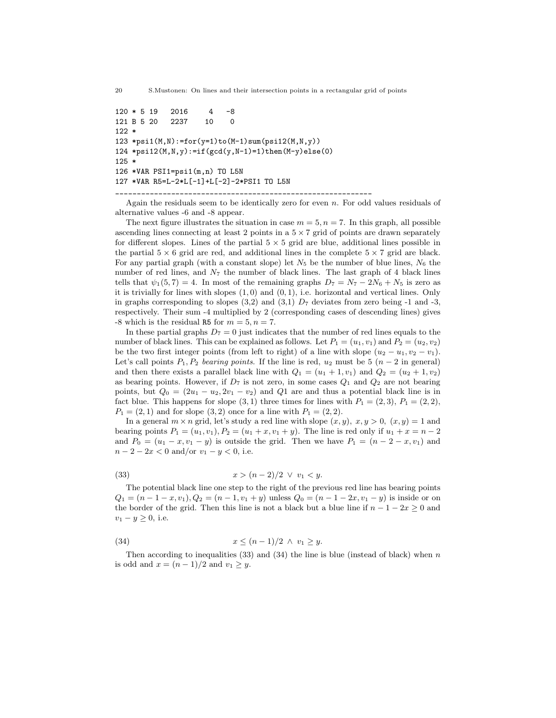20 S.Mustonen: On lines and their intersection points in a rectangular grid of points

120 \* 5 19 2016 4 -8 121 B 5 20 2237 10 0 122 \* 123 \*psi1( $M$ , $N$ ):=for( $y=1$ )to( $M-1$ )sum( $p$ si12( $M$ , $N$ , $y$ )) 124 \*psi12(M,N,y):=if(gcd(y,N-1)=1)then(M-y)else(0) 125 \* 126 \*VAR PSI1=psi1(m,n) TO L5N 127 \*VAR R5=L-2\*L[-1]+L[-2]-2\*PSI1 TO L5N

\_\_\_\_\_\_\_\_\_\_\_\_\_\_\_\_\_\_\_\_\_\_\_\_\_\_\_\_\_\_\_\_\_\_\_\_\_\_\_\_\_\_\_\_\_\_\_\_\_\_\_\_\_\_\_\_\_\_\_\_

Again the residuals seem to be identically zero for even  $n$ . For odd values residuals of alternative values -6 and -8 appear.

The next figure illustrates the situation in case  $m = 5$ ,  $n = 7$ . In this graph, all possible ascending lines connecting at least 2 points in a  $5 \times 7$  grid of points are drawn separately for different slopes. Lines of the partial  $5 \times 5$  grid are blue, additional lines possible in the partial  $5 \times 6$  grid are red, and additional lines in the complete  $5 \times 7$  grid are black. For any partial graph (with a constant slope) let  $N_5$  be the number of blue lines,  $N_6$  the number of red lines, and  $N<sub>7</sub>$  the number of black lines. The last graph of 4 black lines tells that  $\psi_1(5, 7) = 4$ . In most of the remaining graphs  $D_7 = N_7 - 2N_6 + N_5$  is zero as it is trivially for lines with slopes  $(1, 0)$  and  $(0, 1)$ , i.e. horizontal and vertical lines. Only in graphs corresponding to slopes  $(3,2)$  and  $(3,1)$   $D<sub>7</sub>$  deviates from zero being -1 and -3, respectively. Their sum -4 multiplied by 2 (corresponding cases of descending lines) gives  $-8$  which is the residual R5 for  $m = 5, n = 7$ .

In these partial graphs  $D_7 = 0$  just indicates that the number of red lines equals to the number of black lines. This can be explained as follows. Let  $P_1 = (u_1, v_1)$  and  $P_2 = (u_2, v_2)$ be the two first integer points (from left to right) of a line with slope  $(u_2 - u_1, v_2 - v_1)$ . Let's call points  $P_1, P_2$  bearing points. If the line is red,  $u_2$  must be 5  $(n-2)$  in general) and then there exists a parallel black line with  $Q_1 = (u_1 + 1, v_1)$  and  $Q_2 = (u_2 + 1, v_2)$ as bearing points. However, if  $D_7$  is not zero, in some cases  $Q_1$  and  $Q_2$  are not bearing points, but  $Q_0 = (2u_1 - u_2, 2v_1 - v_2)$  and Q1 are and thus a potential black line is in fact blue. This happens for slope  $(3, 1)$  three times for lines with  $P_1 = (2, 3), P_1 = (2, 2),$  $P_1 = (2, 1)$  and for slope  $(3, 2)$  once for a line with  $P_1 = (2, 2)$ .

In a general  $m \times n$  grid, let's study a red line with slope  $(x, y), x, y > 0$ ,  $(x, y) = 1$  and bearing points  $P_1 = (u_1, v_1), P_2 = (u_1 + x, v_1 + y)$ . The line is red only if  $u_1 + x = n - 2$ and  $P_0 = (u_1 - x, v_1 - y)$  is outside the grid. Then we have  $P_1 = (n - 2 - x, v_1)$  and  $n-2-2x < 0$  and/or  $v_1 - y < 0$ , i.e.

(33) 
$$
x > (n-2)/2 \ \lor \ v_1 < y.
$$

The potential black line one step to the right of the previous red line has bearing points  $Q_1 = (n-1-x, v_1), Q_2 = (n-1, v_1+y)$  unless  $Q_0 = (n-1-2x, v_1-y)$  is inside or on the border of the grid. Then this line is not a black but a blue line if  $n - 1 - 2x \geq 0$  and  $v_1 - y \geq 0$ , i.e.

(34) 
$$
x \le (n-1)/2 \land v_1 \ge y
$$
.

Then according to inequalities  $(33)$  and  $(34)$  the line is blue (instead of black) when n is odd and  $x = (n-1)/2$  and  $v_1 \ge y$ .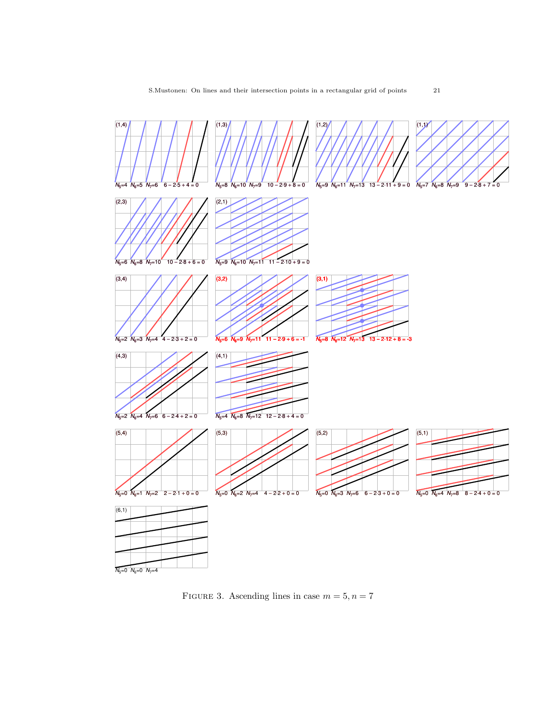

FIGURE 3. Ascending lines in case  $m = 5, n = 7$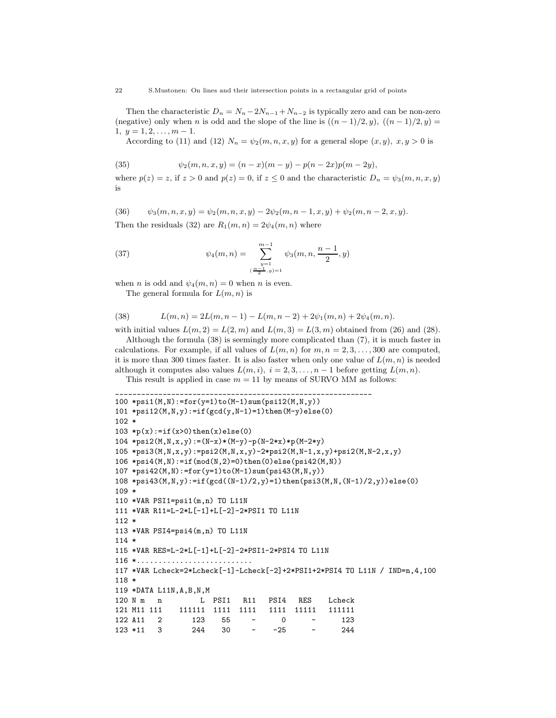Then the characteristic  $D_n = N_n - 2N_{n-1} + N_{n-2}$  is typically zero and can be non-zero (negative) only when n is odd and the slope of the line is  $((n-1)/2, y)$ ,  $((n-1)/2, y)$  $1, y = 1, 2, \ldots, m-1.$ 

According to (11) and (12)  $N_n = \psi_2(m, n, x, y)$  for a general slope  $(x, y)$ ,  $x, y > 0$  is

(35) 
$$
\psi_2(m,n,x,y) = (n-x)(m-y) - p(n-2x)p(m-2y),
$$

where  $p(z) = z$ , if  $z > 0$  and  $p(z) = 0$ , if  $z \le 0$  and the characteristic  $D_n = \psi_3(m, n, x, y)$ is

(36) 
$$
\psi_3(m,n,x,y) = \psi_2(m,n,x,y) - 2\psi_2(m,n-1,x,y) + \psi_2(m,n-2,x,y).
$$

Then the residuals (32) are  $R_1(m, n) = 2\psi_4(m, n)$  where

(37) 
$$
\psi_4(m,n) = \sum_{\substack{y=1 \ (n-1,y)=1}}^{m-1} \psi_3(m,n,\frac{n-1}{2},y)
$$

when *n* is odd and  $\psi_4(m, n) = 0$  when *n* is even.

The general formula for  $L(m, n)$  is

(38) 
$$
L(m,n) = 2L(m,n-1) - L(m,n-2) + 2\psi_1(m,n) + 2\psi_4(m,n).
$$

with initial values  $L(m, 2) = L(2, m)$  and  $L(m, 3) = L(3, m)$  obtained from (26) and (28). Although the formula (38) is seemingly more complicated than (7), it is much faster in

calculations. For example, if all values of  $L(m, n)$  for  $m, n = 2, 3, \ldots, 300$  are computed, it is more than 300 times faster. It is also faster when only one value of  $L(m, n)$  is needed although it computes also values  $L(m, i), i = 2, 3, ..., n - 1$  before getting  $L(m, n)$ .

This result is applied in case  $m = 11$  by means of SURVO MM as follows:

```
____________________________________________________________
100 *psi1(M,N):=for(y=1)to(M-1)sum(psi(12(M,N,y))101 *psi12(M,N,y):=if(gcd(y,N-1)=1)then(M-y)else(0)
102 *
103 *p(x):=if(x>0) then(x) else(0)104 *psi2(M,N,x,y):=(N-x)*(M-y)-p(N-2*x)*p(M-2*y)
105 *psi3(M,N,x,y):=psi2(M,N,x,y)-2*psi2(M,N-1,x,y)+psi2(M,N-2,x,y)
106 *psi4(M,N):=if(mod(N,2)=0)then(0)else(psi42(M,N))
107 *psi42(M,N):=for(y=1)to(M-1)sum(psi43(M,N,y))
108 *psi43(M,N,y):=if(gcd((N-1)/2,y)=1)then(psi3(M,N,(N-1)/2,y))else(0)
109 *
110 *VAR PSI1=psi1(m,n) TO L11N
111 *VAR R11=L-2*L[-1]+L[-2]-2*PSI1 TO L11N
112 *
113 *VAR PSI4=psi4(m,n) TO L11N
114 *
115 *VAR RES=L-2*L[-1]+L[-2]-2*PSI1-2*PSI4 TO L11N
116 *...........................
117 *VAR Lcheck=2*Lcheck[-1]-Lcheck[-2]+2*PSI1+2*PSI4 TO L11N / IND=n,4,100
118 *
119 *DATA L11N,A,B,N,M
120 N m m L PSI1 R11 PSI4 RES Lcheck
121 M11 111 111111 1111 1111 1111 11111 111111
122 A11 2 123 55 - 0 - 123
123 *11 3 244 30 - -25 - 244
```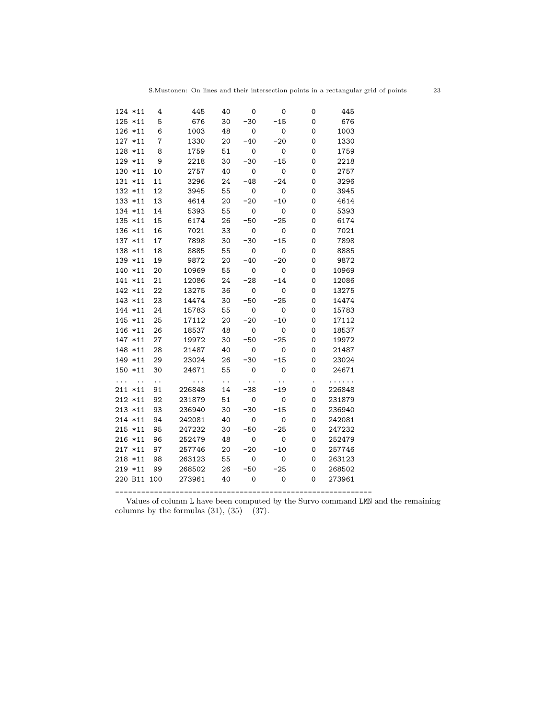|   | 124 *11              | 4              | 445      | 40                   | 0                    | $\mathsf{o}$        | 0 | 445    |  |
|---|----------------------|----------------|----------|----------------------|----------------------|---------------------|---|--------|--|
|   | 125 *11              | 5              | 676      | 30                   | $-30$                | $-15$               | 0 | 676    |  |
|   | 126 *11              | 6              | 1003     | 48                   | 0                    | 0                   | 0 | 1003   |  |
|   | 127 *11              | $\overline{7}$ | 1330     | 20                   | $-40$                | $-20$               | 0 | 1330   |  |
|   | 128 *11              | 8              | 1759     | 51                   | $\mathsf{O}\xspace$  | $\mathsf{O}\xspace$ | 0 | 1759   |  |
|   | 129 *11              | 9              | 2218     | 30                   | $-30$                | $-15$               | 0 | 2218   |  |
|   | 130 *11              | 10             | 2757     | 40                   | 0                    | $\mathsf{O}\xspace$ | 0 | 2757   |  |
|   | 131 *11              | 11             | 3296     | 24                   | $-48$                | $-24$               | 0 | 3296   |  |
|   | 132 *11              | 12             | 3945     | 55                   | 0                    | 0                   | 0 | 3945   |  |
|   | 133 *11              | 13             | 4614     | 20                   | $-20$                | $-10$               | 0 | 4614   |  |
|   | 134 *11              | 14             | 5393     | 55                   | 0                    | 0                   | 0 | 5393   |  |
|   | 135 *11              | 15             | 6174     | 26                   | $-50$                | $-25$               | 0 | 6174   |  |
|   | 136 *11              | 16             | 7021     | 33                   | 0                    | 0                   | 0 | 7021   |  |
|   | 137 *11              | 17             | 7898     | 30                   | $-30$                | $-15$               | 0 | 7898   |  |
|   | 138 *11              | 18             | 8885     | 55                   | 0                    | 0                   | 0 | 8885   |  |
|   | 139 *11              | 19             | 9872     | 20                   | $-40$                | $-20$               | 0 | 9872   |  |
|   | 140 *11              | 20             | 10969    | 55                   | $\mathsf{o}$         | 0                   | 0 | 10969  |  |
|   | 141 *11              | 21             | 12086    | 24                   | $-28$                | $-14$               | 0 | 12086  |  |
|   | 142 *11              | 22             | 13275    | 36                   | $\mathbf 0$          | 0                   | 0 | 13275  |  |
|   | $143 * 11$           | 23             | 14474    | 30                   | $-50$                | $-25$               | 0 | 14474  |  |
|   | 144 *11              | 24             | 15783    | 55                   | 0                    | 0                   | 0 | 15783  |  |
|   | 145 *11              | 25             | 17112    | 20                   | $-20$                | $-10$               | 0 | 17112  |  |
|   | 146 *11              | 26             | 18537    | 48                   | 0                    | 0                   | 0 | 18537  |  |
|   | 147 *11              | 27             | 19972    | 30                   | $-50$                | $-25$               | 0 | 19972  |  |
|   | 148 *11              | 28             | 21487    | 40                   | 0                    | 0                   | 0 | 21487  |  |
|   | 149 *11              | 29             | 23024    | 26                   | $-30$                | $-15$               | 0 | 23024  |  |
|   | 150 *11              | 30             | 24671    | 55                   | $\mathsf{o}$         | 0                   | 0 | 24671  |  |
| . | $\ddot{\phantom{0}}$ | $\ddotsc$      | $\ldots$ | $\ddot{\phantom{0}}$ | $\ddot{\phantom{0}}$ |                     |   | .      |  |
|   | $211 * 11$           | 91             | 226848   | 14                   | $-38$                | $-19$               | 0 | 226848 |  |
|   | $212 * 11$           | 92             | 231879   | 51                   | 0                    | 0                   | 0 | 231879 |  |
|   | $213 * 11$           | 93             | 236940   | 30                   | $-30$                | $-15$               | 0 | 236940 |  |
|   | 214 *11              | 94             | 242081   | 40                   | 0                    | 0                   | 0 | 242081 |  |
|   | $215 * 11$           | 95             | 247232   | 30                   | $-50$                | $-25$               | 0 | 247232 |  |
|   | 216 *11              | 96             | 252479   | 48                   | 0                    | 0                   | 0 | 252479 |  |
|   | $217 * 11$           | 97             | 257746   | 20                   | $-20$                | $-10$               | 0 | 257746 |  |
|   | $218 * 11$           | 98             | 263123   | 55                   | 0                    | 0                   | 0 | 263123 |  |
|   | $219 * 11$           | 99             | 268502   | 26                   | $-50$                | $-25$               | 0 | 268502 |  |
|   | 220 B11 100          |                | 273961   | 40                   | 0                    | 0                   | 0 | 273961 |  |
|   |                      |                |          |                      |                      |                     |   |        |  |

Values of column L have been computed by the Survo command LMN and the remaining columns by the formulas  $(31)$ ,  $(35) - (37)$ .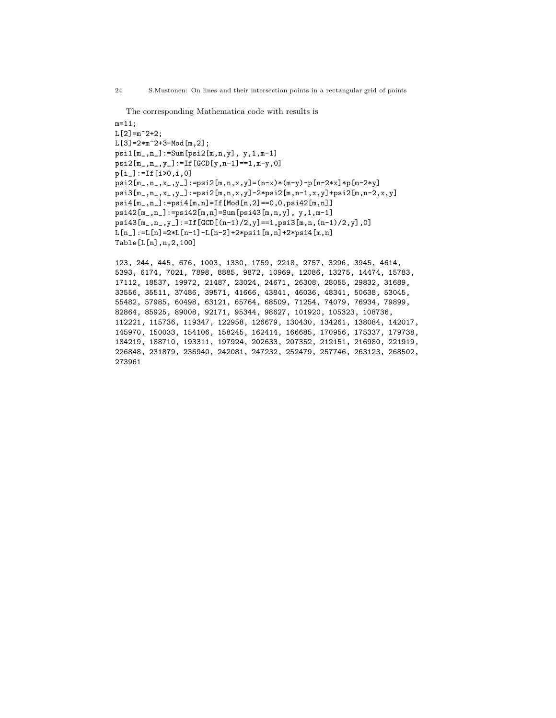```
The corresponding Mathematica code with results is
m=11;
L[2] = m^2+2;L[3]=2*m^2+3-Mod[m,2];psi1[m_,n_]:=Sum[psi2[m,n,y], y,1,m-1]
psi2[m_,n_,y_]:=If[GCD[y,n-1]==1,m-y,0]
p[i_]:=If[i>0,i,0]
psi2[m_,n_,x_,y_]:=psi2[m,n,x,y]=(n-x)*(m-y)-p[n-2*x]*p[m-2*y]
psi3[m_,n_,x_,y_]:=psi2[m,n,x,y]-2*psi2[m,n-1,x,y]+psi2[m,n-2,x,y]
psi4[m_,n_]:=psi4[m,n]=If[Mod[n,2]==0,0,psi42[m,n]]
psi42[m_,n_]:=psi42[m,n]=Sum[psi43[m,n,y], y,1,m-1]
psi43[m_,n_,y_]:=If[GCD[(n-1)/2,y]==1,psi3[m,n,(n-1)/2,y],0]
L[n_]:=L[n]=2*L[n-1]-L[n-2]+2*psi[n,n]+2*psi4[m,n]Table[L[n],n,2,100]
```
123, 244, 445, 676, 1003, 1330, 1759, 2218, 2757, 3296, 3945, 4614, 5393, 6174, 7021, 7898, 8885, 9872, 10969, 12086, 13275, 14474, 15783, 17112, 18537, 19972, 21487, 23024, 24671, 26308, 28055, 29832, 31689, 33556, 35511, 37486, 39571, 41666, 43841, 46036, 48341, 50638, 53045, 55482, 57985, 60498, 63121, 65764, 68509, 71254, 74079, 76934, 79899, 82864, 85925, 89008, 92171, 95344, 98627, 101920, 105323, 108736, 112221, 115736, 119347, 122958, 126679, 130430, 134261, 138084, 142017, 145970, 150033, 154106, 158245, 162414, 166685, 170956, 175337, 179738, 184219, 188710, 193311, 197924, 202633, 207352, 212151, 216980, 221919, 226848, 231879, 236940, 242081, 247232, 252479, 257746, 263123, 268502, 273961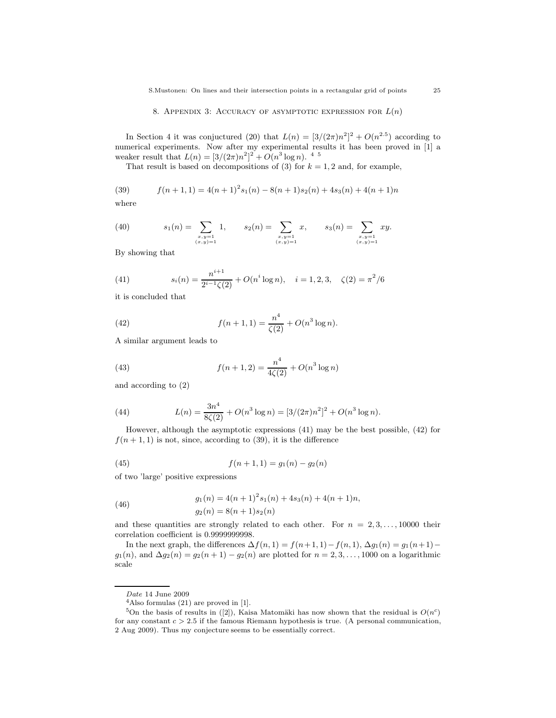In Section 4 it was conjuctured (20) that  $L(n) = \left[\frac{3}{(2\pi)n^2}\right]^2 + O(n^{2.5})$  according to numerical experiments. Now after my experimental results it has been proved in [1] a weaker result that  $L(n) = [3/(2\pi)n^2]^2 + O(n^3 \log n)$ . <sup>45</sup>

That result is based on decompositions of (3) for  $k = 1, 2$  and, for example,

(39) 
$$
f(n+1,1) = 4(n+1)^2 s_1(n) - 8(n+1)s_2(n) + 4s_3(n) + 4(n+1)n
$$
 where

(40) 
$$
s_1(n) = \sum_{\substack{x,y=1 \ (x,y)=1}} 1, \qquad s_2(n) = \sum_{\substack{x,y=1 \ (x,y)=1}} x, \qquad s_3(n) = \sum_{\substack{x,y=1 \ (x,y)=1}} xy.
$$

By showing that

(41) 
$$
s_i(n) = \frac{n^{i+1}}{2^{i-1}\zeta(2)} + O(n^i \log n), \quad i = 1, 2, 3, \quad \zeta(2) = \pi^2/6
$$

it is concluded that

(42) 
$$
f(n+1,1) = \frac{n^4}{\zeta(2)} + O(n^3 \log n).
$$

A similar argument leads to

(43) 
$$
f(n+1,2) = \frac{n^4}{4\zeta(2)} + O(n^3 \log n)
$$

and according to (2)

(44) 
$$
L(n) = \frac{3n^4}{8\zeta(2)} + O(n^3 \log n) = [3/(2\pi)n^2]^2 + O(n^3 \log n).
$$

However, although the asymptotic expressions (41) may be the best possible, (42) for  $f(n+1, 1)$  is not, since, according to (39), it is the difference

(45) 
$$
f(n+1,1) = g_1(n) - g_2(n)
$$

of two 'large' positive expressions

(46) 
$$
g_1(n) = 4(n+1)^2 s_1(n) + 4s_3(n) + 4(n+1)n,
$$

$$
g_2(n) = 8(n+1)s_2(n)
$$

and these quantities are strongly related to each other. For  $n = 2, 3, \ldots, 10000$  their correlation coefficient is 0.9999999998.

In the next graph, the differences  $\Delta f(n, 1) = f(n+1, 1) - f(n, 1), \Delta g_1(n) = g_1(n+1)$  $g_1(n)$ , and  $\Delta g_2(n) = g_2(n+1) - g_2(n)$  are plotted for  $n = 2, 3, \ldots, 1000$  on a logarithmic scale

Date 14 June 2009

 $4$ Also formulas  $(21)$  are proved in [1].

<sup>&</sup>lt;sup>5</sup>On the basis of results in ([2]), Kaisa Matomäki has now shown that the residual is  $O(n^c)$ for any constant  $c > 2.5$  if the famous Riemann hypothesis is true. (A personal communication, 2 Aug 2009). Thus my conjecture seems to be essentially correct.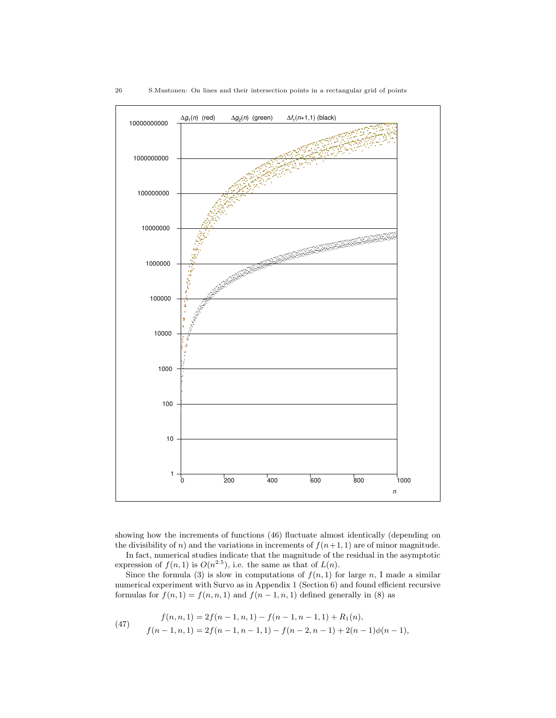

showing how the increments of functions (46) fluctuate almost identically (depending on the divisibility of n) and the variations in increments of  $f(n+1, 1)$  are of minor magnitude. In fact, numerical studies indicate that the magnitude of the residual in the asymptotic

expression of  $f(n, 1)$  is  $O(n^{2.5})$ , i.e. the same as that of  $L(n)$ .

Since the formula (3) is slow in computations of  $f(n, 1)$  for large n, I made a similar numerical experiment with Survo as in Appendix 1 (Section 6) and found efficient recursive formulas for  $f(n, 1) = f(n, n, 1)$  and  $f(n - 1, n, 1)$  defined generally in (8) as

(47) 
$$
f(n, n, 1) = 2f(n - 1, n, 1) - f(n - 1, n - 1, 1) + R_1(n),
$$

$$
f(n - 1, n, 1) = 2f(n - 1, n - 1, 1) - f(n - 2, n - 1) + 2(n - 1)\phi(n - 1),
$$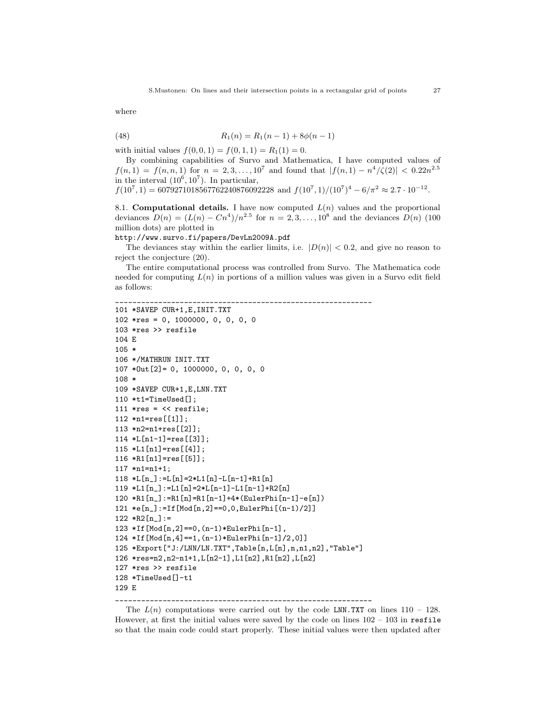where

(48) 
$$
R_1(n) = R_1(n-1) + 8\phi(n-1)
$$

with initial values  $f(0, 0, 1) = f(0, 1, 1) = R_1(1) = 0$ .

By combining capabilities of Survo and Mathematica, I have computed values of  $f(n,1) = f(n,n,1)$  for  $n = 2,3,...,10^7$  and found that  $|f(n,1) - n^4/\zeta(2)| < 0.22n^{2.5}$ in the interval  $(10^6, 10^7)$ . In particular,

 $f(10^7, 1) = 6079271018567762240876092228$  and  $f(10^7, 1)/(10^7)^4 - 6/\pi^2 \approx 2.7 \cdot 10^{-12}$ .

8.1. Computational details. I have now computed  $L(n)$  values and the proportional deviances  $D(n) = (L(n) - Cn^4)/n^{2.5}$  for  $n = 2, 3, ..., 10^8$  and the deviances  $D(n)$  (100) million dots) are plotted in

http://www.survo.fi/papers/DevLn2009A.pdf

The deviances stay within the earlier limits, i.e.  $|D(n)| < 0.2$ , and give no reason to reject the conjecture (20).

The entire computational process was controlled from Survo. The Mathematica code needed for computing  $L(n)$  in portions of a million values was given in a Survo edit field as follows:

```
____________________________________________________________
101 *SAVEP CUR+1,E,INIT.TXT
102 *res = 0, 1000000, 0, 0, 0, 0
103 *res >> resfile
104 E
105 *
106 */MATHRUN INIT.TXT
107 *Out[2]= 0, 1000000, 0, 0, 0, 0
108 *
109 *SAVEP CUR+1,E,LNN.TXT
110 *t1=TimeUsed[];
111 *res = \langle\langle \text{resfile}\rangle112 *n1=res[[1]];
113 *n2=n1+res[[2]];
114 *L[n1-1]=res[[3]];
115 *L1[n1]=res[[4]];
116 *R1[n1]=res[[5]];
117 *n1=n1+1;
118 *L[n] := L[n] = 2*L1[n] - L[n-1] + R1[n]119 *L1[n_]:=L1[n]=2*L[n-1]-L1[n-1]+R2[n]
120 *R1[n_]:=R1[n]=R1[n-1]+4*(EulerPhi[n-1]-e[n])
121 *e[n_]:=If[Mod[n,2]==0,0,EulerPhi[(n-1)/2]]
122 * R2[n_]:=123 *If[Mod[n,2]==0,(n-1)*EulerPhi[n-1],
124 *If[Mod[n,4]==1,(n-1)*EulerPhi[n-1]/2,0]]
125 *Export["J:/LNN/LN.TXT",Table[n,L[n],n,n1,n2],"Table"]
126 *res=n2,n2-n1+1,L[n2-1],L1[n2],R1[n2],L[n2]
127 *res >> resfile
128 *TimeUsed[]-t1
129 E
```
\_\_\_\_\_\_\_\_\_\_\_\_\_\_\_\_\_\_\_\_\_\_\_\_\_\_\_\_\_\_\_\_\_\_\_\_\_\_\_\_\_\_\_\_\_\_\_\_\_\_\_\_\_\_\_\_\_\_\_\_

The  $L(n)$  computations were carried out by the code LNN.TXT on lines 110 – 128. However, at first the initial values were saved by the code on lines  $102 - 103$  in resfile so that the main code could start properly. These initial values were then updated after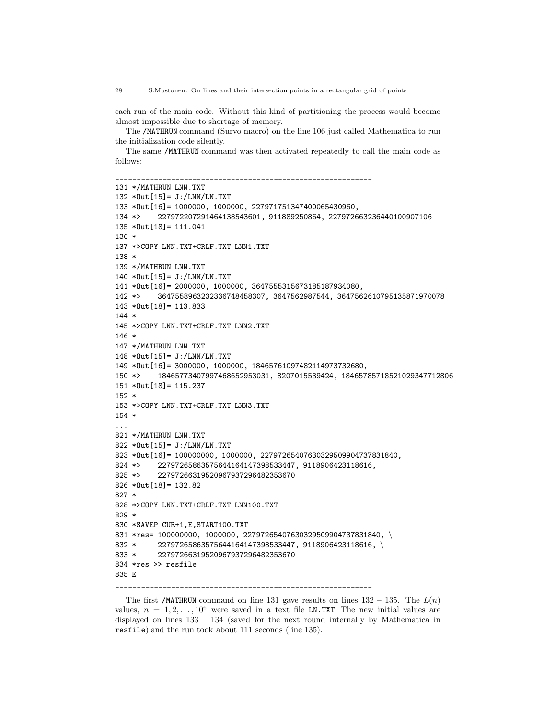each run of the main code. Without this kind of partitioning the process would become almost impossible due to shortage of memory.

The /MATHRUN command (Survo macro) on the line 106 just called Mathematica to run the initialization code silently.

The same /MATHRUN command was then activated repeatedly to call the main code as follows:

```
____________________________________________________________
131 */MATHRUN LNN.TXT
132 *Out[15]= J:/LNN/LN.TXT
133 *Out[16]= 1000000, 1000000, 227971751347400065430960,
134 *> 227972207291464138543601, 911889250864, 227972663236440100907106
135 *Out[18]= 111.041
136 *
137 *>COPY LNN.TXT+CRLF.TXT LNN1.TXT
138 *
139 */MATHRUN LNN.TXT
140 *Out[15]= J:/LNN/LN.TXT
141 *Out[16]= 2000000, 1000000, 3647555315673185187934080,
142 *> 3647558963232336748458307, 3647562987544, 3647562610795135871970078
143 *Out[18]= 113.833
144 *
145 *>COPY LNN.TXT+CRLF.TXT LNN2.TXT
146 *
147 */MATHRUN LNN.TXT
148 *Out[15]= J:/LNN/LN.TXT
149 *Out[16]= 3000000, 1000000, 18465761097482114973732680,
150 *> 18465773407997468652953031, 8207015539424, 18465785718521029347712806
151 *Out[18]= 115.237
152 *
153 *>COPY LNN.TXT+CRLF.TXT LNN3.TXT
154 *
...
821 */MATHRUN LNN.TXT
822 *Out[15]= J:/LNN/LN.TXT
823 *Out[16]= 100000000, 1000000, 22797265407630329509904737831840,
824 *> 22797265863575644164147398533447, 9118906423118616,
825 *> 22797266319520967937296482353670
826 *Out[18]= 132.82
827 *
828 *>COPY LNN.TXT+CRLF.TXT LNN100.TXT
829 *
830 *SAVEP CUR+1,E,START100.TXT
831 *res= 100000000, 1000000, 22797265407630329509904737831840,
832 * 22797265863575644164147398533447, 9118906423118616, \
833 * 22797266319520967937296482353670
834 *res >> resfile
835 E
____________________________________________________________
```
The first /MATHRUN command on line 131 gave results on lines  $132 - 135$ . The  $L(n)$ values,  $n = 1, 2, \ldots, 10^6$  were saved in a text file LN.TXT. The new initial values are displayed on lines 133 – 134 (saved for the next round internally by Mathematica in resfile) and the run took about 111 seconds (line 135).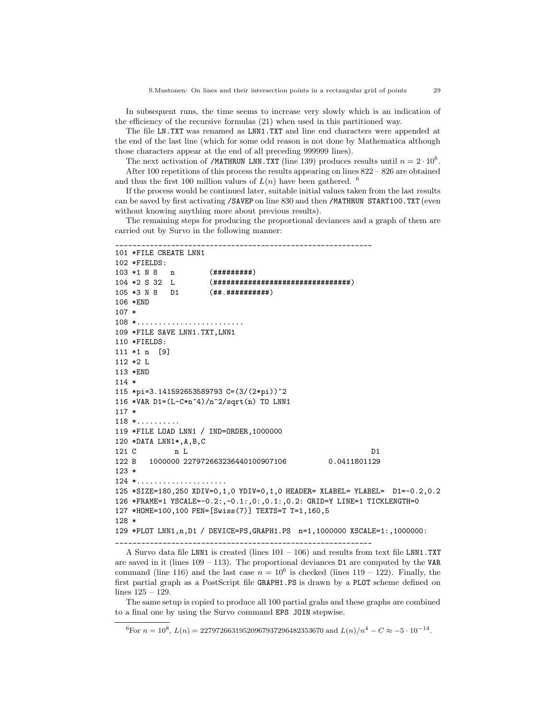In subsequent runs, the time seems to increase very slowly which is an indication of the efficiency of the recursive formulas (21) when used in this partitioned way.

The file LN.TXT was renamed as LNN1.TXT and line end characters were appended at the end of the last line (which for some odd reason is not done by Mathematica although those characters appear at the end of all preceding 999999 lines).

The next activation of /MATHRUN LNN.TXT (line 139) produces results until  $n = 2 \cdot 10^6$ . After 100 repetitions of this process the results appearing on lines 822 – 826 are obtained and thus the first 100 million values of  $L(n)$  have been gathered. <sup>6</sup>

If the process would be continued later, suitable initial values taken from the last results can be saved by first activating /SAVEP on line 830 and then /MATHRUN START100.TXT (even without knowing anything more about previous results).

The remaining steps for producing the proportional deviances and a graph of them are carried out by Survo in the following manner:

```
____________________________________________________________
101 *FILE CREATE LNN1
102 *FIELDS:
103 *1 N 8 n (#########)
104 *2 S 32 L (################################)
105 *3 N 8 D1 (##.##########)
106 *END
107 *
108 *.........................
109 *FILE SAVE LNN1.TXT,LNN1
110 *FIELDS:
111 *1 n [9]
112 *2 L
113 *END
114 *
115 *pi=3.141592653589793 C=(3/(2*pi))^2
116 *VAR D1=(L-C*n^4)/n^2/sqrt(n) TO LNN1
117 *
118 *..........
119 *FILE LOAD LNN1 / IND=ORDER,1000000
120 *DATA LNN1*,A,B,C
121 C n L D1
122 B 1000000 227972663236440100907106 0.0411801129
123 *124 *.....................
125 *SIZE=180,250 XDIV=0,1,0 YDIV=0,1,0 HEADER= XLABEL= YLABEL= D1=-0.2,0.2
126 *FRAME=1 YSCALE=-0.2:,-0.1:,0:,0.1:,0.2: GRID=Y LINE=1 TICKLENGTH=0
127 *HOME=100,100 PEN=[Swiss(7)] TEXTS=T T=1,160,5
128 *
129 *PLOT LNN1,n,D1 / DEVICE=PS,GRAPH1.PS n=1,1000000 XSCALE=1:,1000000:
```
\_\_\_\_\_\_\_\_\_\_\_\_\_\_\_\_\_\_\_\_\_\_\_\_\_\_\_\_\_\_\_\_\_\_\_\_\_\_\_\_\_\_\_\_\_\_\_\_\_\_\_\_\_\_\_\_\_\_\_\_

A Survo data file LNN1 is created (lines  $101 - 106$ ) and results from text file LNN1.TXT are saved in it (lines  $109 - 113$ ). The proportional deviances D1 are computed by the VAR command (line 116) and the last case  $n = 10^6$  is checked (lines 119 – 122). Finally, the first partial graph as a PostScript file GRAPH1.PS is drawn by a PLOT scheme defined on lines 125 – 129.

The same setup is copied to produce all 100 partial grahs and these graphs are combined to a final one by using the Survo command EPS JOIN stepwise.

 ${}^{6}$ For  $n = 10^{8}$ ,  $L(n) = 22797266319520967937296482353670$  and  $L(n)/n^{4} - C \approx -5 \cdot 10^{-14}$ .